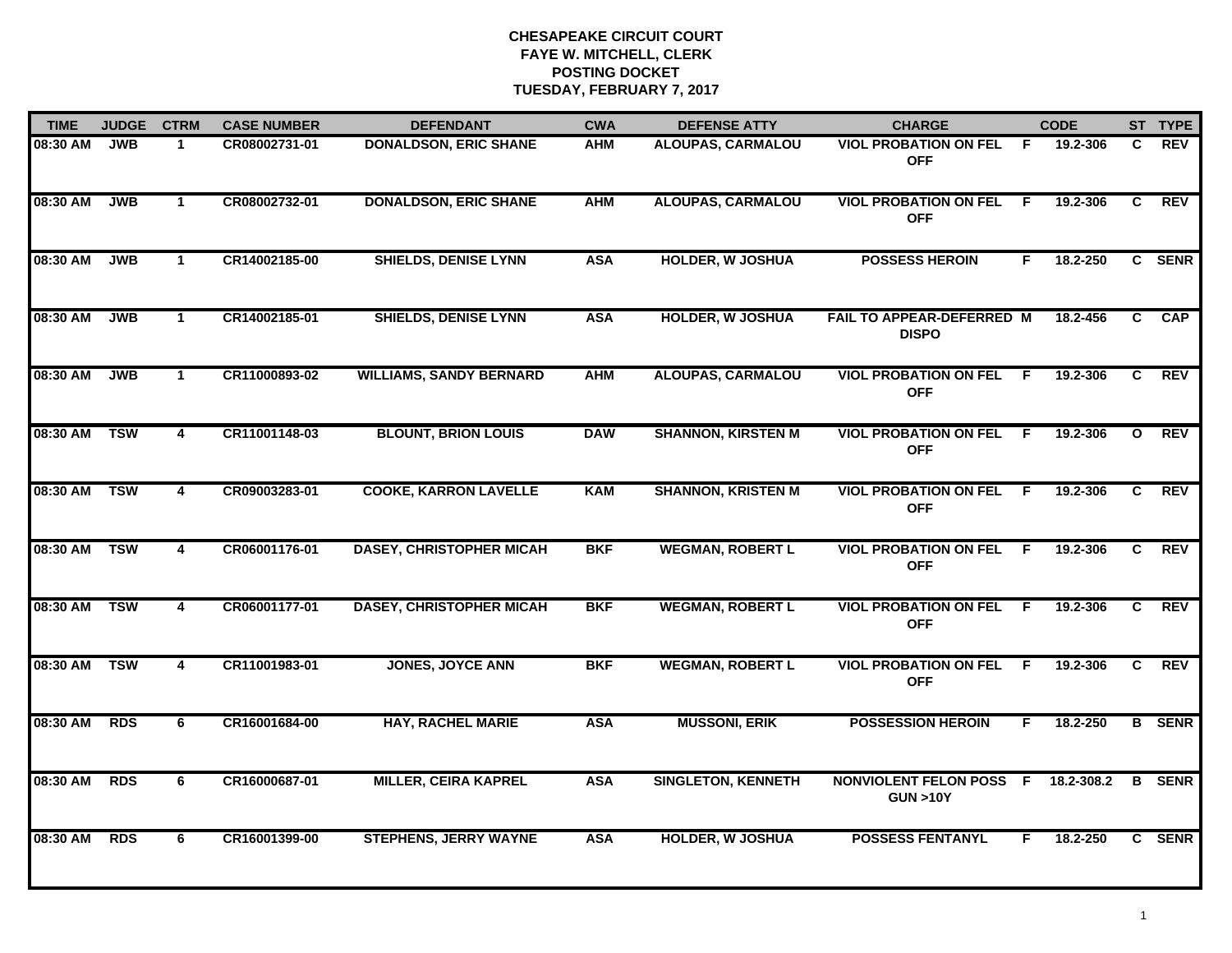| <b>TIME</b> | <b>JUDGE</b> | <b>CTRM</b>             | <b>CASE NUMBER</b> | <b>DEFENDANT</b>                | <b>CWA</b> | <b>DEFENSE ATTY</b>       | <b>CHARGE</b>                                        |     | <b>CODE</b> |              | ST TYPE       |
|-------------|--------------|-------------------------|--------------------|---------------------------------|------------|---------------------------|------------------------------------------------------|-----|-------------|--------------|---------------|
| 08:30 AM    | <b>JWB</b>   | $\mathbf 1$             | CR08002731-01      | <b>DONALDSON, ERIC SHANE</b>    | <b>AHM</b> | <b>ALOUPAS, CARMALOU</b>  | <b>VIOL PROBATION ON FEL</b><br><b>OFF</b>           | -F  | 19.2-306    | C.           | REV           |
| 08:30 AM    | <b>JWB</b>   | $\mathbf{1}$            | CR08002732-01      | <b>DONALDSON, ERIC SHANE</b>    | <b>AHM</b> | <b>ALOUPAS, CARMALOU</b>  | <b>VIOL PROBATION ON FEL</b><br><b>OFF</b>           | -F  | 19.2-306    | C            | <b>REV</b>    |
| 08:30 AM    | <b>JWB</b>   | $\mathbf{1}$            | CR14002185-00      | <b>SHIELDS, DENISE LYNN</b>     | <b>ASA</b> | <b>HOLDER, W JOSHUA</b>   | <b>POSSESS HEROIN</b>                                | F.  | 18.2-250    |              | C SENR        |
| 08:30 AM    | <b>JWB</b>   | $\mathbf{1}$            | CR14002185-01      | <b>SHIELDS, DENISE LYNN</b>     | <b>ASA</b> | <b>HOLDER, W JOSHUA</b>   | FAIL TO APPEAR-DEFERRED M<br><b>DISPO</b>            |     | 18.2-456    | C.           | <b>CAP</b>    |
| 08:30 AM    | <b>JWB</b>   | $\mathbf 1$             | CR11000893-02      | <b>WILLIAMS, SANDY BERNARD</b>  | <b>AHM</b> | <b>ALOUPAS, CARMALOU</b>  | <b>VIOL PROBATION ON FEL</b><br><b>OFF</b>           | F.  | 19.2-306    | C            | <b>REV</b>    |
| 08:30 AM    | <b>TSW</b>   | 4                       | CR11001148-03      | <b>BLOUNT, BRION LOUIS</b>      | <b>DAW</b> | <b>SHANNON, KIRSTEN M</b> | <b>VIOL PROBATION ON FEL</b><br><b>OFF</b>           | -F  | 19.2-306    | $\mathbf{o}$ | <b>REV</b>    |
| 08:30 AM    | <b>TSW</b>   | $\overline{\mathbf{4}}$ | CR09003283-01      | <b>COOKE, KARRON LAVELLE</b>    | <b>KAM</b> | <b>SHANNON, KRISTEN M</b> | <b>VIOL PROBATION ON FEL</b><br><b>OFF</b>           | - F | 19.2-306    | C            | <b>REV</b>    |
| 08:30 AM    | <b>TSW</b>   | 4                       | CR06001176-01      | <b>DASEY, CHRISTOPHER MICAH</b> | <b>BKF</b> | <b>WEGMAN, ROBERT L</b>   | <b>VIOL PROBATION ON FEL</b><br><b>OFF</b>           | -F  | 19.2-306    | C.           | <b>REV</b>    |
| 08:30 AM    | <b>TSW</b>   | 4                       | CR06001177-01      | <b>DASEY, CHRISTOPHER MICAH</b> | <b>BKF</b> | <b>WEGMAN, ROBERT L</b>   | <b>VIOL PROBATION ON FEL</b><br><b>OFF</b>           | F.  | 19.2-306    | C.           | <b>REV</b>    |
| 08:30 AM    | <b>TSW</b>   | 4                       | CR11001983-01      | <b>JONES, JOYCE ANN</b>         | <b>BKF</b> | <b>WEGMAN, ROBERT L</b>   | <b>VIOL PROBATION ON FEL</b><br><b>OFF</b>           | E   | 19.2-306    | C            | <b>REV</b>    |
| 08:30 AM    | <b>RDS</b>   | 6                       | CR16001684-00      | <b>HAY, RACHEL MARIE</b>        | <b>ASA</b> | <b>MUSSONI, ERIK</b>      | <b>POSSESSION HEROIN</b>                             | F   | 18.2-250    |              | <b>B</b> SENR |
| 08:30 AM    | <b>RDS</b>   | 6                       | CR16000687-01      | <b>MILLER, CEIRA KAPREL</b>     | <b>ASA</b> | <b>SINGLETON, KENNETH</b> | <b>NONVIOLENT FELON POSS F</b><br><b>GUN &gt;10Y</b> |     | 18.2-308.2  |              | <b>B</b> SENR |
| 08:30 AM    | <b>RDS</b>   | 6                       | CR16001399-00      | <b>STEPHENS, JERRY WAYNE</b>    | <b>ASA</b> | <b>HOLDER, W JOSHUA</b>   | <b>POSSESS FENTANYL</b>                              | F   | 18.2-250    |              | C SENR        |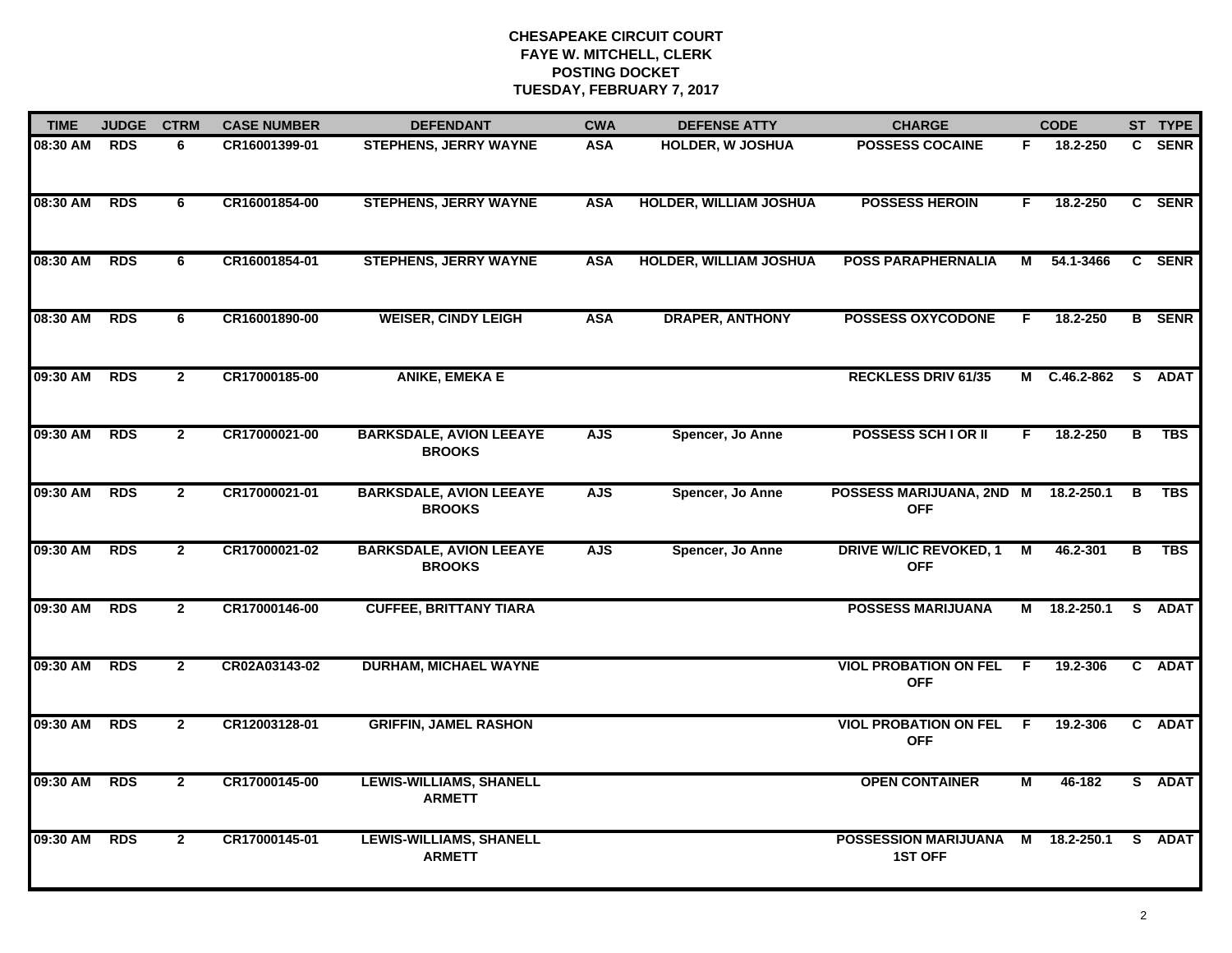| <b>TIME</b>  | <b>JUDGE</b> | <b>CTRM</b>    | <b>CASE NUMBER</b> | <b>DEFENDANT</b>                                | <b>CWA</b> | <b>DEFENSE ATTY</b>           | <b>CHARGE</b>                                 |                         | <b>CODE</b>  |   | ST TYPE       |
|--------------|--------------|----------------|--------------------|-------------------------------------------------|------------|-------------------------------|-----------------------------------------------|-------------------------|--------------|---|---------------|
| 08:30 AM     | <b>RDS</b>   | 6              | CR16001399-01      | <b>STEPHENS, JERRY WAYNE</b>                    | <b>ASA</b> | <b>HOLDER, W JOSHUA</b>       | <b>POSSESS COCAINE</b>                        | F.                      | 18.2-250     |   | C SENR        |
| 08:30 AM     | RDS          | 6              | CR16001854-00      | <b>STEPHENS, JERRY WAYNE</b>                    | <b>ASA</b> | <b>HOLDER, WILLIAM JOSHUA</b> | <b>POSSESS HEROIN</b>                         | F.                      | 18.2-250     |   | C SENR        |
| 08:30 AM     | <b>RDS</b>   | 6              | CR16001854-01      | <b>STEPHENS, JERRY WAYNE</b>                    | <b>ASA</b> | <b>HOLDER, WILLIAM JOSHUA</b> | <b>POSS PARAPHERNALIA</b>                     | М                       | 54.1-3466    |   | C SENR        |
| 08:30 AM     | <b>RDS</b>   | 6              | CR16001890-00      | <b>WEISER, CINDY LEIGH</b>                      | <b>ASA</b> | <b>DRAPER, ANTHONY</b>        | <b>POSSESS OXYCODONE</b>                      | F.                      | 18.2-250     |   | <b>B</b> SENR |
| 09:30 AM     | <b>RDS</b>   | $\overline{2}$ | CR17000185-00      | <b>ANIKE, EMEKA E</b>                           |            |                               | <b>RECKLESS DRIV 61/35</b>                    |                         | M C.46.2-862 |   | S ADAT        |
| 09:30 AM     | <b>RDS</b>   | $\mathbf{2}$   | CR17000021-00      | <b>BARKSDALE, AVION LEEAYE</b><br><b>BROOKS</b> | <b>AJS</b> | Spencer, Jo Anne              | <b>POSSESS SCHI OR II</b>                     | F.                      | 18.2-250     | в | <b>TBS</b>    |
| 09:30 AM     | <b>RDS</b>   | $\overline{2}$ | CR17000021-01      | <b>BARKSDALE, AVION LEEAYE</b><br><b>BROOKS</b> | <b>AJS</b> | Spencer, Jo Anne              | POSSESS MARIJUANA, 2ND M<br><b>OFF</b>        |                         | 18.2-250.1   | B | <b>TBS</b>    |
| 09:30 AM     | <b>RDS</b>   | $\mathbf{2}$   | CR17000021-02      | <b>BARKSDALE, AVION LEEAYE</b><br><b>BROOKS</b> | <b>AJS</b> | Spencer, Jo Anne              | <b>DRIVE W/LIC REVOKED, 1</b><br><b>OFF</b>   | $\overline{M}$          | 46.2-301     | B | <b>TBS</b>    |
| 09:30 AM     | <b>RDS</b>   | $\overline{2}$ | CR17000146-00      | <b>CUFFEE, BRITTANY TIARA</b>                   |            |                               | <b>POSSESS MARIJUANA</b>                      |                         | M 18.2-250.1 |   | S ADAT        |
| 09:30 AM RDS |              | $\overline{2}$ | CR02A03143-02      | <b>DURHAM, MICHAEL WAYNE</b>                    |            |                               | <b>VIOL PROBATION ON FEL</b><br><b>OFF</b>    | - F                     | 19.2-306     |   | C ADAT        |
| 09:30 AM RDS |              | $\overline{2}$ | CR12003128-01      | <b>GRIFFIN, JAMEL RASHON</b>                    |            |                               | <b>VIOL PROBATION ON FEL</b><br><b>OFF</b>    | - F                     | 19.2-306     |   | C ADAT        |
| 09:30 AM     | <b>RDS</b>   | $\overline{2}$ | CR17000145-00      | <b>LEWIS-WILLIAMS, SHANELL</b><br><b>ARMETT</b> |            |                               | <b>OPEN CONTAINER</b>                         | $\overline{\mathsf{M}}$ | 46-182       |   | S ADAT        |
| 09:30 AM     | <b>RDS</b>   | $\overline{2}$ | CR17000145-01      | <b>LEWIS-WILLIAMS, SHANELL</b><br><b>ARMETT</b> |            |                               | <b>POSSESSION MARIJUANA</b><br><b>1ST OFF</b> | M                       | 18.2-250.1   |   | S ADAT        |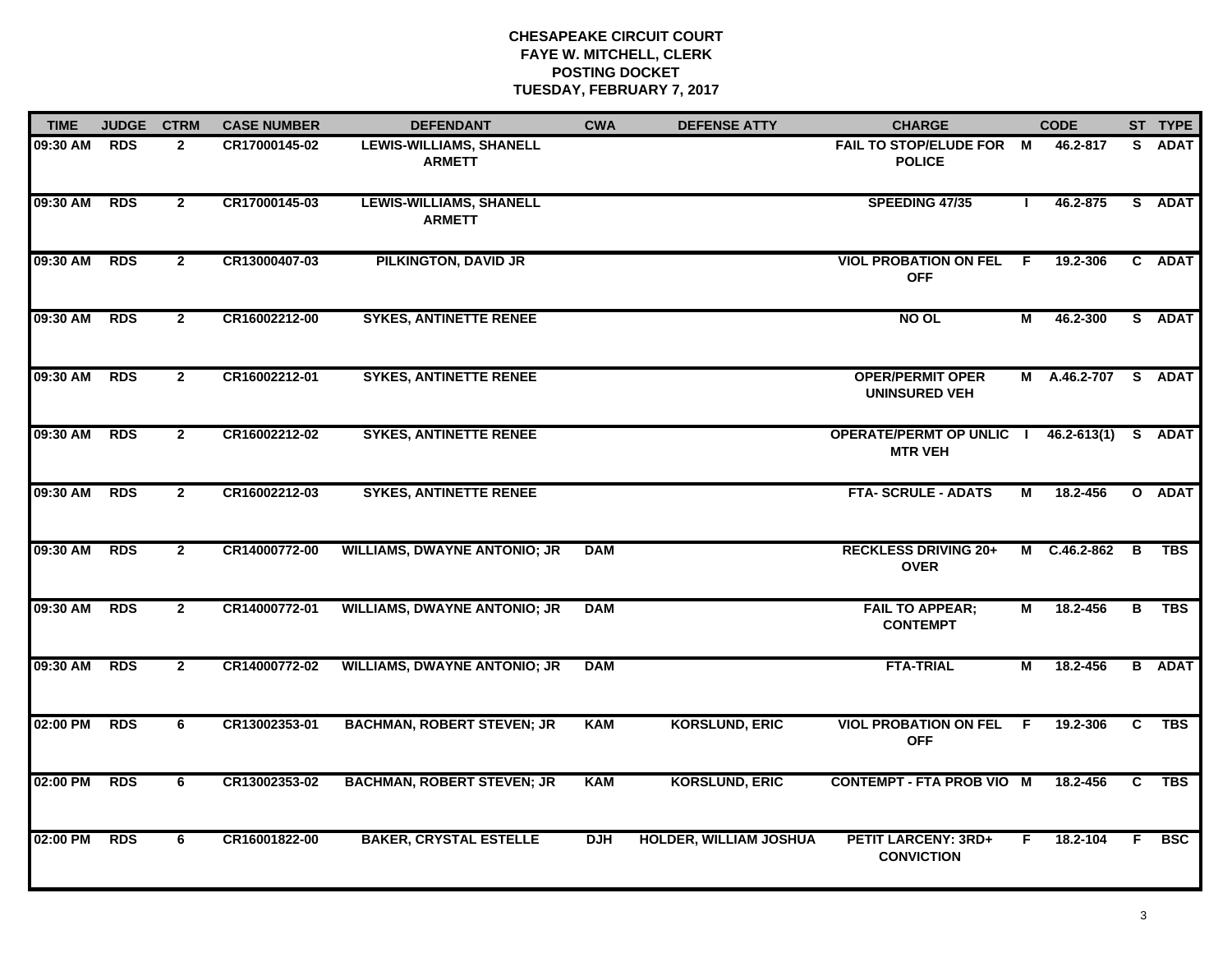| <b>TIME</b>  | <b>JUDGE</b> | <b>CTRM</b>    | <b>CASE NUMBER</b> | <b>DEFENDANT</b>                                | <b>CWA</b> | <b>DEFENSE ATTY</b>           | <b>CHARGE</b>                                     |              | <b>CODE</b>     |                | ST TYPE       |
|--------------|--------------|----------------|--------------------|-------------------------------------------------|------------|-------------------------------|---------------------------------------------------|--------------|-----------------|----------------|---------------|
| 09:30 AM     | <b>RDS</b>   | $\overline{2}$ | CR17000145-02      | <b>LEWIS-WILLIAMS, SHANELL</b><br><b>ARMETT</b> |            |                               | <b>FAIL TO STOP/ELUDE FOR</b><br><b>POLICE</b>    | M            | 46.2-817        | S.             | <b>ADAT</b>   |
| 09:30 AM     | <b>RDS</b>   | $\mathbf{2}$   | CR17000145-03      | <b>LEWIS-WILLIAMS, SHANELL</b><br><b>ARMETT</b> |            |                               | SPEEDING 47/35                                    | $\mathbf{I}$ | 46.2-875        |                | S ADAT        |
| 09:30 AM RDS |              | $\mathbf{2}$   | CR13000407-03      | <b>PILKINGTON, DAVID JR</b>                     |            |                               | <b>VIOL PROBATION ON FEL F</b><br><b>OFF</b>      |              | 19.2-306        |                | C ADAT        |
| 09:30 AM     | <b>RDS</b>   | $\mathbf{2}$   | CR16002212-00      | <b>SYKES, ANTINETTE RENEE</b>                   |            |                               | <b>NO OL</b>                                      | М            | 46.2-300        |                | S ADAT        |
| 09:30 AM     | <b>RDS</b>   | $\overline{2}$ | CR16002212-01      | <b>SYKES, ANTINETTE RENEE</b>                   |            |                               | <b>OPER/PERMIT OPER</b><br><b>UNINSURED VEH</b>   |              | M A.46.2-707    |                | S ADAT        |
| 09:30 AM     | <b>RDS</b>   | $\overline{2}$ | CR16002212-02      | <b>SYKES, ANTINETTE RENEE</b>                   |            |                               | <b>OPERATE/PERMT OP UNLIC I</b><br><b>MTR VEH</b> |              | $46.2 - 613(1)$ | <b>S</b>       | <b>ADAT</b>   |
| 09:30 AM     | <b>RDS</b>   | $\overline{2}$ | CR16002212-03      | <b>SYKES, ANTINETTE RENEE</b>                   |            |                               | <b>FTA-SCRULE - ADATS</b>                         | М            | 18.2-456        |                | O ADAT        |
| 09:30 AM     | <b>RDS</b>   | $\mathbf{2}$   | CR14000772-00      | <b>WILLIAMS, DWAYNE ANTONIO; JR</b>             | <b>DAM</b> |                               | <b>RECKLESS DRIVING 20+</b><br><b>OVER</b>        |              | M C.46.2-862    | B              | <b>TBS</b>    |
| 09:30 AM     | <b>RDS</b>   | $\overline{2}$ | CR14000772-01      | <b>WILLIAMS, DWAYNE ANTONIO; JR</b>             | <b>DAM</b> |                               | <b>FAIL TO APPEAR;</b><br><b>CONTEMPT</b>         | М            | 18.2-456        | В              | <b>TBS</b>    |
| 09:30 AM     | <b>RDS</b>   | $\overline{2}$ | CR14000772-02      | <b>WILLIAMS, DWAYNE ANTONIO; JR</b>             | <b>DAM</b> |                               | <b>FTA-TRIAL</b>                                  | М            | 18.2-456        |                | <b>B</b> ADAT |
| 02:00 PM     | RDS          | 6              | CR13002353-01      | <b>BACHMAN, ROBERT STEVEN; JR</b>               | <b>KAM</b> | <b>KORSLUND, ERIC</b>         | <b>VIOL PROBATION ON FEL F</b><br><b>OFF</b>      |              | 19.2-306        | $\overline{c}$ | <b>TBS</b>    |
| 02:00 PM     | <b>RDS</b>   | 6              | CR13002353-02      | <b>BACHMAN, ROBERT STEVEN; JR</b>               | <b>KAM</b> | <b>KORSLUND, ERIC</b>         | <b>CONTEMPT - FTA PROB VIO M</b>                  |              | 18.2-456        | $\overline{c}$ | <b>TBS</b>    |
| 02:00 PM     | <b>RDS</b>   | 6              | CR16001822-00      | <b>BAKER, CRYSTAL ESTELLE</b>                   | <b>DJH</b> | <b>HOLDER, WILLIAM JOSHUA</b> | <b>PETIT LARCENY: 3RD+</b><br><b>CONVICTION</b>   | F.           | 18.2-104        | F.             | <b>BSC</b>    |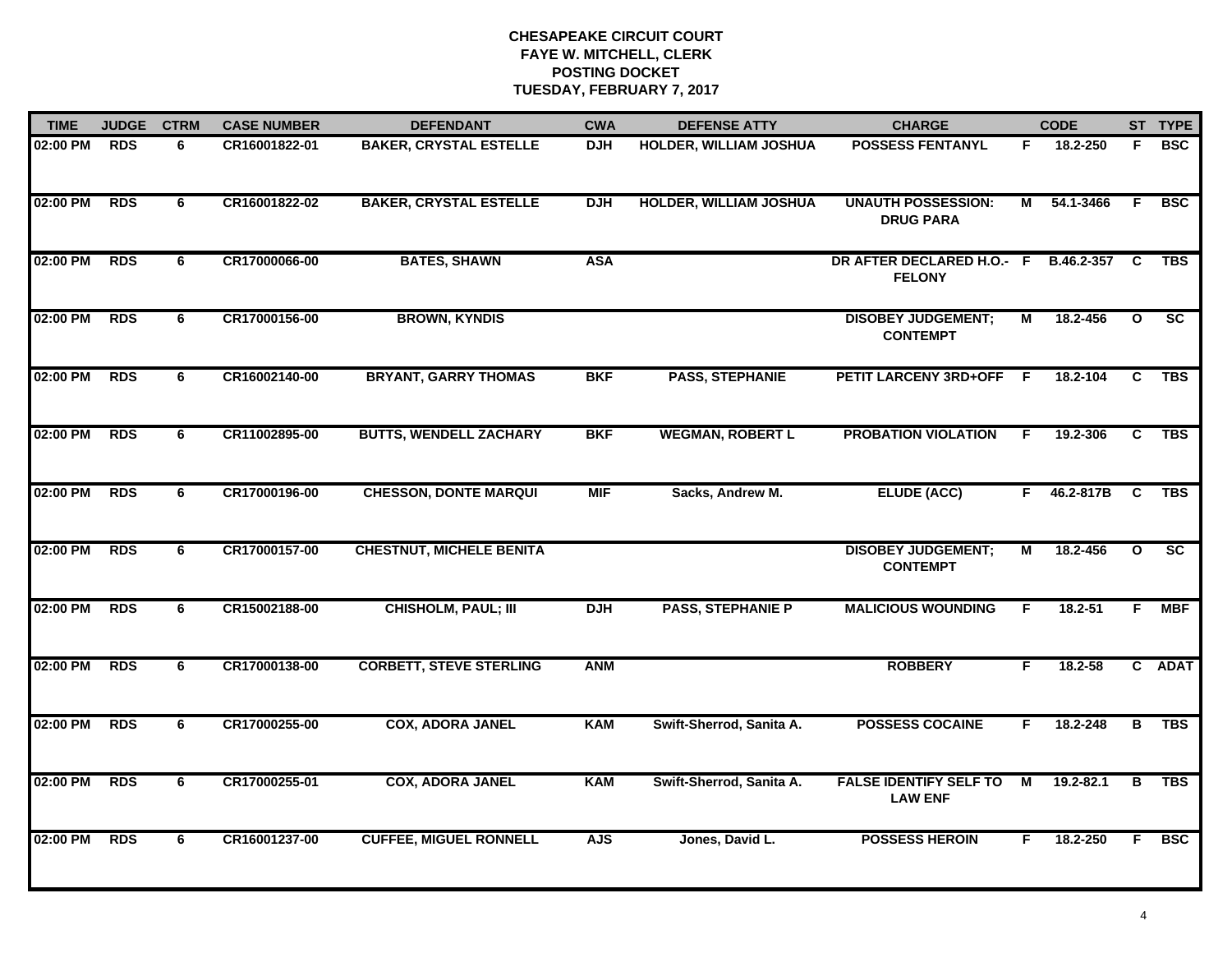| <b>TIME</b> | <b>JUDGE</b> | <b>CTRM</b> | <b>CASE NUMBER</b> | <b>DEFENDANT</b>                | <b>CWA</b> | <b>DEFENSE ATTY</b>           | <b>CHARGE</b>                                   |                | <b>CODE</b> |                         | ST TYPE                  |
|-------------|--------------|-------------|--------------------|---------------------------------|------------|-------------------------------|-------------------------------------------------|----------------|-------------|-------------------------|--------------------------|
| 02:00 PM    | <b>RDS</b>   | 6           | CR16001822-01      | <b>BAKER, CRYSTAL ESTELLE</b>   | <b>DJH</b> | HOLDER, WILLIAM JOSHUA        | <b>POSSESS FENTANYL</b>                         | F.             | 18.2-250    | F.                      | <b>BSC</b>               |
| 02:00 PM    | <b>RDS</b>   | 6           | CR16001822-02      | <b>BAKER, CRYSTAL ESTELLE</b>   | <b>DJH</b> | <b>HOLDER, WILLIAM JOSHUA</b> | <b>UNAUTH POSSESSION:</b><br><b>DRUG PARA</b>   | М              | 54.1-3466   | E                       | <b>BSC</b>               |
| 02:00 PM    | <b>RDS</b>   | 6           | CR17000066-00      | <b>BATES, SHAWN</b>             | <b>ASA</b> |                               | DR AFTER DECLARED H.O.- F<br><b>FELONY</b>      |                | B.46.2-357  | C                       | <b>TBS</b>               |
| 02:00 PM    | <b>RDS</b>   | 6           | CR17000156-00      | <b>BROWN, KYNDIS</b>            |            |                               | <b>DISOBEY JUDGEMENT;</b><br><b>CONTEMPT</b>    | М              | 18.2-456    | $\mathbf{o}$            | <b>SC</b>                |
| 02:00 PM    | <b>RDS</b>   | 6           | CR16002140-00      | <b>BRYANT, GARRY THOMAS</b>     | <b>BKF</b> | <b>PASS, STEPHANIE</b>        | <b>PETIT LARCENY 3RD+OFF</b>                    | F.             | 18.2-104    | C                       | <b>TBS</b>               |
| 02:00 PM    | <b>RDS</b>   | 6           | CR11002895-00      | <b>BUTTS, WENDELL ZACHARY</b>   | <b>BKF</b> | <b>WEGMAN, ROBERT L</b>       | <b>PROBATION VIOLATION</b>                      | F.             | 19.2-306    | C                       | TBS                      |
| 02:00 PM    | <b>RDS</b>   | 6           | CR17000196-00      | <b>CHESSON, DONTE MARQUI</b>    | <b>MIF</b> | Sacks, Andrew M.              | <b>ELUDE (ACC)</b>                              | F.             | 46.2-817B   | <b>C</b>                | <b>TBS</b>               |
| 02:00 PM    | <b>RDS</b>   | 6           | CR17000157-00      | <b>CHESTNUT, MICHELE BENITA</b> |            |                               | <b>DISOBEY JUDGEMENT;</b><br><b>CONTEMPT</b>    | $\overline{M}$ | 18.2-456    | $\overline{\mathbf{o}}$ | $\overline{\mathsf{sc}}$ |
| 02:00 PM    | <b>RDS</b>   | 6           | CR15002188-00      | <b>CHISHOLM, PAUL; III</b>      | <b>DJH</b> | <b>PASS, STEPHANIE P</b>      | <b>MALICIOUS WOUNDING</b>                       | F.             | $18.2 - 51$ | F                       | <b>MBF</b>               |
| 02:00 PM    | <b>RDS</b>   | 6           | CR17000138-00      | <b>CORBETT, STEVE STERLING</b>  | <b>ANM</b> |                               | <b>ROBBERY</b>                                  | F.             | $18.2 - 58$ |                         | C ADAT                   |
| 02:00 PM    | <b>RDS</b>   | 6           | CR17000255-00      | <b>COX, ADORA JANEL</b>         | <b>KAM</b> | Swift-Sherrod, Sanita A.      | <b>POSSESS COCAINE</b>                          | F.             | 18.2-248    | в                       | <b>TBS</b>               |
| 02:00 PM    | <b>RDS</b>   | 6           | CR17000255-01      | <b>COX, ADORA JANEL</b>         | <b>KAM</b> | Swift-Sherrod, Sanita A.      | <b>FALSE IDENTIFY SELF TO</b><br><b>LAW ENF</b> | M              | 19.2-82.1   | В                       | <b>TBS</b>               |
| 02:00 PM    | <b>RDS</b>   | 6           | CR16001237-00      | <b>CUFFEE, MIGUEL RONNELL</b>   | <b>AJS</b> | Jones, David L.               | <b>POSSESS HEROIN</b>                           | F.             | 18.2-250    | F.                      | <b>BSC</b>               |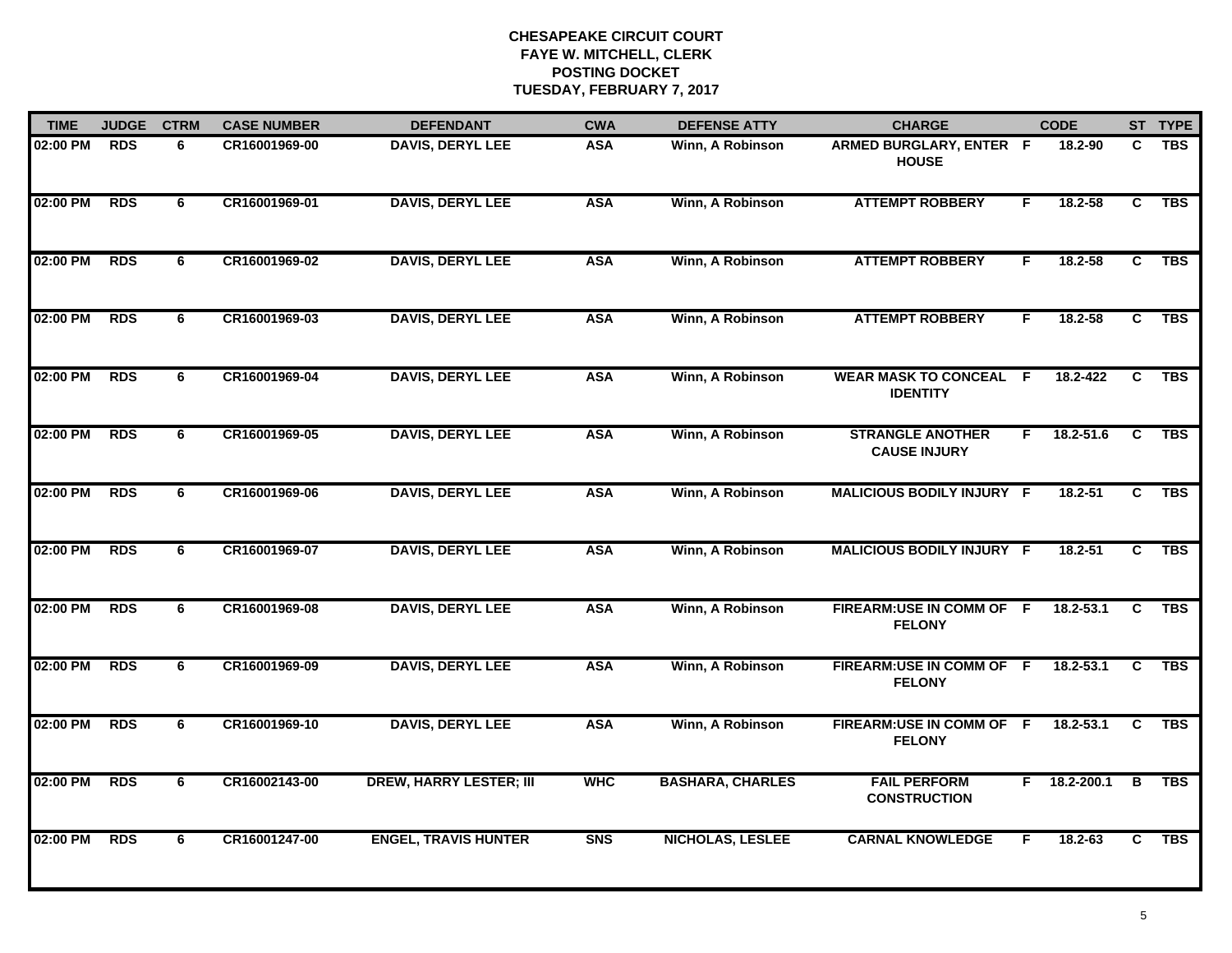| <b>TIME</b> | <b>JUDGE</b> | <b>CTRM</b> | <b>CASE NUMBER</b> | <b>DEFENDANT</b>               | <b>CWA</b> | <b>DEFENSE ATTY</b>     | <b>CHARGE</b>                                    |    | <b>CODE</b>   |                | ST TYPE    |
|-------------|--------------|-------------|--------------------|--------------------------------|------------|-------------------------|--------------------------------------------------|----|---------------|----------------|------------|
| 02:00 PM    | <b>RDS</b>   | 6           | CR16001969-00      | <b>DAVIS, DERYL LEE</b>        | <b>ASA</b> | Winn, A Robinson        | ARMED BURGLARY, ENTER F<br><b>HOUSE</b>          |    | 18.2-90       | C.             | <b>TBS</b> |
| 02:00 PM    | <b>RDS</b>   | 6           | CR16001969-01      | <b>DAVIS, DERYL LEE</b>        | <b>ASA</b> | Winn, A Robinson        | <b>ATTEMPT ROBBERY</b>                           | F. | 18.2-58       | C              | <b>TBS</b> |
| 02:00 PM    | <b>RDS</b>   | 6           | CR16001969-02      | <b>DAVIS, DERYL LEE</b>        | <b>ASA</b> | Winn, A Robinson        | <b>ATTEMPT ROBBERY</b>                           | F. | $18.2 - 58$   | $\overline{c}$ | <b>TBS</b> |
| 02:00 PM    | <b>RDS</b>   | 6           | CR16001969-03      | <b>DAVIS, DERYL LEE</b>        | <b>ASA</b> | Winn, A Robinson        | <b>ATTEMPT ROBBERY</b>                           | F. | $18.2 - 58$   | C.             | <b>TBS</b> |
| 02:00 PM    | <b>RDS</b>   | 6           | CR16001969-04      | <b>DAVIS, DERYL LEE</b>        | <b>ASA</b> | Winn, A Robinson        | <b>WEAR MASK TO CONCEAL F</b><br><b>IDENTITY</b> |    | 18.2-422      | C              | <b>TBS</b> |
| 02:00 PM    | <b>RDS</b>   | 6           | CR16001969-05      | <b>DAVIS, DERYL LEE</b>        | <b>ASA</b> | Winn, A Robinson        | <b>STRANGLE ANOTHER</b><br><b>CAUSE INJURY</b>   | F. | 18.2-51.6     | C              | <b>TBS</b> |
| 02:00 PM    | <b>RDS</b>   | 6           | CR16001969-06      | <b>DAVIS, DERYL LEE</b>        | <b>ASA</b> | Winn, A Robinson        | <b>MALICIOUS BODILY INJURY F</b>                 |    | $18.2 - 51$   | C              | <b>TBS</b> |
| 02:00 PM    | <b>RDS</b>   | 6           | CR16001969-07      | <b>DAVIS, DERYL LEE</b>        | <b>ASA</b> | Winn, A Robinson        | <b>MALICIOUS BODILY INJURY F</b>                 |    | $18.2 - 51$   | $\overline{c}$ | <b>TBS</b> |
| 02:00 PM    | <b>RDS</b>   | 6           | CR16001969-08      | <b>DAVIS, DERYL LEE</b>        | <b>ASA</b> | Winn, A Robinson        | FIREARM:USE IN COMM OF F<br><b>FELONY</b>        |    | 18.2-53.1     | C.             | <b>TBS</b> |
| 02:00 PM    | <b>RDS</b>   | 6           | CR16001969-09      | <b>DAVIS, DERYL LEE</b>        | <b>ASA</b> | Winn, A Robinson        | FIREARM:USE IN COMM OF F<br><b>FELONY</b>        |    | 18.2-53.1     | C              | <b>TBS</b> |
| 02:00 PM    | <b>RDS</b>   | 6           | CR16001969-10      | <b>DAVIS, DERYL LEE</b>        | <b>ASA</b> | Winn, A Robinson        | FIREARM:USE IN COMM OF F<br><b>FELONY</b>        |    | $18.2 - 53.1$ | C              | <b>TBS</b> |
| 02:00 PM    | <b>RDS</b>   | 6           | CR16002143-00      | <b>DREW, HARRY LESTER; III</b> | <b>WHC</b> | <b>BASHARA, CHARLES</b> | <b>FAIL PERFORM</b><br><b>CONSTRUCTION</b>       | F. | 18.2-200.1    | B              | <b>TBS</b> |
| 02:00 PM    | <b>RDS</b>   | 6           | CR16001247-00      | <b>ENGEL, TRAVIS HUNTER</b>    | <b>SNS</b> | <b>NICHOLAS, LESLEE</b> | <b>CARNAL KNOWLEDGE</b>                          | F. | 18.2-63       | $\overline{c}$ | <b>TBS</b> |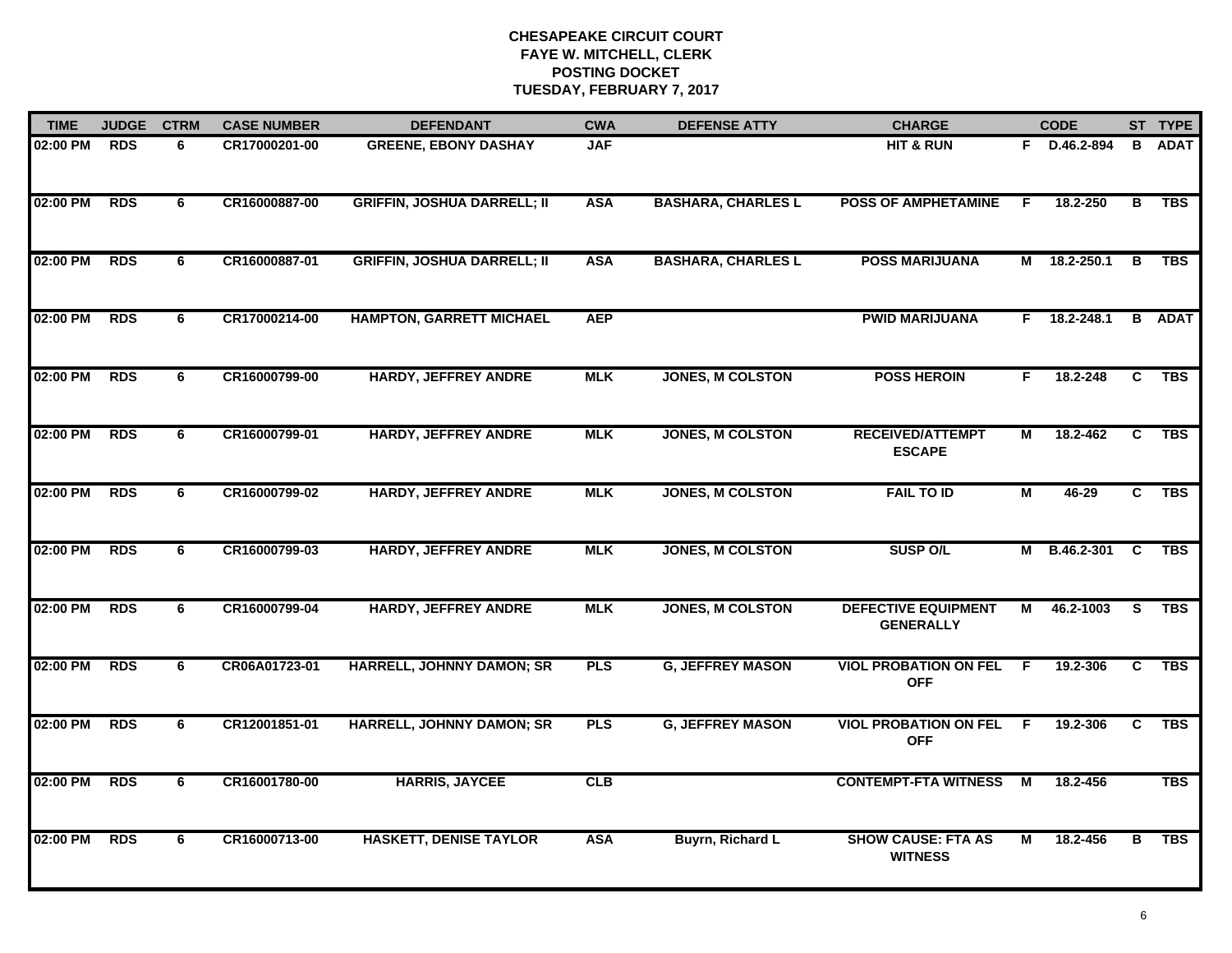| <b>TIME</b> | <b>JUDGE</b> | <b>CTRM</b> | <b>CASE NUMBER</b> | <b>DEFENDANT</b>                   | <b>CWA</b> | <b>DEFENSE ATTY</b>       | <b>CHARGE</b>                                  |     | <b>CODE</b>  |                | ST TYPE       |
|-------------|--------------|-------------|--------------------|------------------------------------|------------|---------------------------|------------------------------------------------|-----|--------------|----------------|---------------|
| 02:00 PM    | <b>RDS</b>   | 6           | CR17000201-00      | <b>GREENE, EBONY DASHAY</b>        | <b>JAF</b> |                           | <b>HIT &amp; RUN</b>                           | F.  | D.46.2-894   | в              | <b>ADAT</b>   |
| 02:00 PM    | <b>RDS</b>   | 6           | CR16000887-00      | <b>GRIFFIN, JOSHUA DARRELL; II</b> | <b>ASA</b> | <b>BASHARA, CHARLES L</b> | <b>POSS OF AMPHETAMINE</b>                     | F.  | 18.2-250     | В              | <b>TBS</b>    |
| 02:00 PM    | <b>RDS</b>   | 6           | CR16000887-01      | <b>GRIFFIN, JOSHUA DARRELL; II</b> | <b>ASA</b> | <b>BASHARA, CHARLES L</b> | <b>POSS MARIJUANA</b>                          |     | M 18.2-250.1 | В              | <b>TBS</b>    |
| 02:00 PM    | <b>RDS</b>   | 6           | CR17000214-00      | <b>HAMPTON, GARRETT MICHAEL</b>    | <b>AEP</b> |                           | <b>PWID MARIJUANA</b>                          | F.  | 18.2-248.1   |                | <b>B</b> ADAT |
| 02:00 PM    | <b>RDS</b>   | 6           | CR16000799-00      | <b>HARDY, JEFFREY ANDRE</b>        | <b>MLK</b> | <b>JONES, M COLSTON</b>   | <b>POSS HEROIN</b>                             | F.  | 18.2-248     | C.             | <b>TBS</b>    |
| 02:00 PM    | <b>RDS</b>   | 6           | CR16000799-01      | <b>HARDY, JEFFREY ANDRE</b>        | <b>MLK</b> | <b>JONES, M COLSTON</b>   | <b>RECEIVED/ATTEMPT</b><br><b>ESCAPE</b>       | М   | 18.2-462     | C              | <b>TBS</b>    |
| 02:00 PM    | <b>RDS</b>   | 6           | CR16000799-02      | <b>HARDY, JEFFREY ANDRE</b>        | <b>MLK</b> | <b>JONES, M COLSTON</b>   | <b>FAIL TO ID</b>                              | М   | 46-29        | $\overline{c}$ | <b>TBS</b>    |
| 02:00 PM    | <b>RDS</b>   | 6           | CR16000799-03      | <b>HARDY, JEFFREY ANDRE</b>        | <b>MLK</b> | <b>JONES, M COLSTON</b>   | <b>SUSP O/L</b>                                |     | M B.46.2-301 | C.             | <b>TBS</b>    |
| 02:00 PM    | <b>RDS</b>   | 6           | CR16000799-04      | <b>HARDY, JEFFREY ANDRE</b>        | <b>MLK</b> | <b>JONES, M COLSTON</b>   | <b>DEFECTIVE EQUIPMENT</b><br><b>GENERALLY</b> | м   | 46.2-1003    | S.             | <b>TBS</b>    |
| 02:00 PM    | <b>RDS</b>   | 6           | CR06A01723-01      | <b>HARRELL, JOHNNY DAMON; SR</b>   | <b>PLS</b> | <b>G, JEFFREY MASON</b>   | <b>VIOL PROBATION ON FEL</b><br><b>OFF</b>     | - F | 19.2-306     | C              | <b>TBS</b>    |
| 02:00 PM    | <b>RDS</b>   | 6           | CR12001851-01      | HARRELL, JOHNNY DAMON; SR          | <b>PLS</b> | <b>G, JEFFREY MASON</b>   | <b>VIOL PROBATION ON FEL</b><br><b>OFF</b>     | - F | 19.2-306     | C              | <b>TBS</b>    |
| 02:00 PM    | <b>RDS</b>   | 6           | CR16001780-00      | <b>HARRIS, JAYCEE</b>              | CLB        |                           | <b>CONTEMPT-FTA WITNESS</b>                    | М   | 18.2-456     |                | <b>TBS</b>    |
| 02:00 PM    | <b>RDS</b>   | 6           | CR16000713-00      | <b>HASKETT, DENISE TAYLOR</b>      | <b>ASA</b> | Buyrn, Richard L          | <b>SHOW CAUSE: FTA AS</b><br><b>WITNESS</b>    | м   | 18.2-456     | B              | <b>TBS</b>    |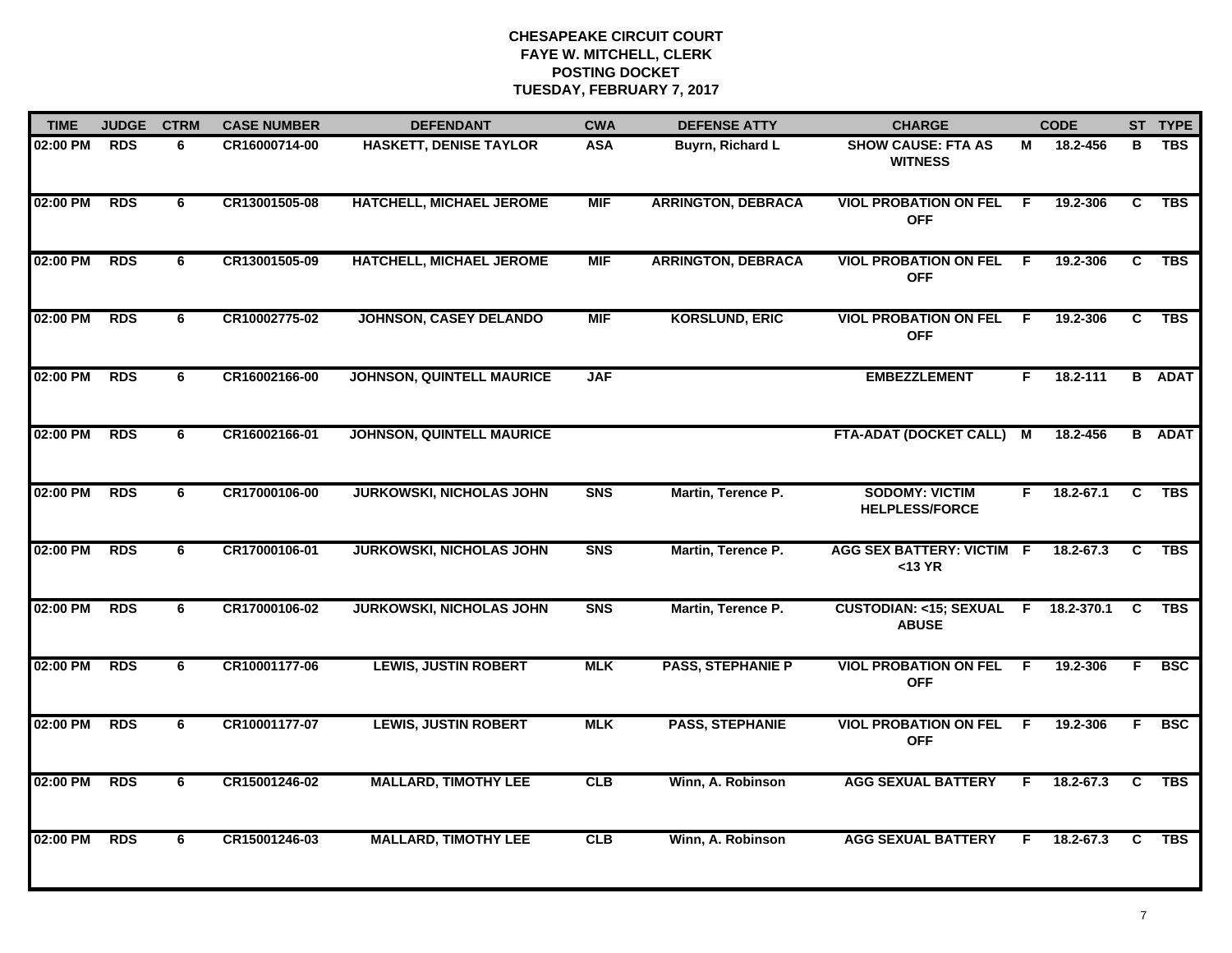| <b>TIME</b> | <b>JUDGE</b> | <b>CTRM</b> | <b>CASE NUMBER</b> | <b>DEFENDANT</b>                 | <b>CWA</b> | <b>DEFENSE ATTY</b>       | <b>CHARGE</b>                                      |     | <b>CODE</b>   |    | ST TYPE       |
|-------------|--------------|-------------|--------------------|----------------------------------|------------|---------------------------|----------------------------------------------------|-----|---------------|----|---------------|
| 02:00 PM    | <b>RDS</b>   | 6           | CR16000714-00      | <b>HASKETT, DENISE TAYLOR</b>    | <b>ASA</b> | <b>Buyrn, Richard L</b>   | <b>SHOW CAUSE: FTA AS</b><br><b>WITNESS</b>        | М   | 18.2-456      | в  | <b>TBS</b>    |
| 02:00 PM    | <b>RDS</b>   | 6           | CR13001505-08      | HATCHELL, MICHAEL JEROME         | <b>MIF</b> | <b>ARRINGTON, DEBRACA</b> | <b>VIOL PROBATION ON FEL</b><br><b>OFF</b>         | - F | 19.2-306      | C  | <b>TBS</b>    |
| 02:00 PM    | <b>RDS</b>   | 6           | CR13001505-09      | HATCHELL, MICHAEL JEROME         | <b>MIF</b> | <b>ARRINGTON, DEBRACA</b> | <b>VIOL PROBATION ON FEL F</b><br><b>OFF</b>       |     | 19.2-306      | C  | <b>TBS</b>    |
| 02:00 PM    | <b>RDS</b>   | 6           | CR10002775-02      | JOHNSON, CASEY DELANDO           | <b>MIF</b> | <b>KORSLUND, ERIC</b>     | <b>VIOL PROBATION ON FEL F</b><br><b>OFF</b>       |     | 19.2-306      | C  | <b>TBS</b>    |
| 02:00 PM    | <b>RDS</b>   | 6           | CR16002166-00      | <b>JOHNSON, QUINTELL MAURICE</b> | <b>JAF</b> |                           | <b>EMBEZZLEMENT</b>                                | F.  | $18.2 - 111$  |    | <b>B</b> ADAT |
| 02:00 PM    | <b>RDS</b>   | 6           | CR16002166-01      | <b>JOHNSON, QUINTELL MAURICE</b> |            |                           | FTA-ADAT (DOCKET CALL) M                           |     | 18.2-456      |    | <b>B</b> ADAT |
| 02:00 PM    | <b>RDS</b>   | 6           | CR17000106-00      | <b>JURKOWSKI, NICHOLAS JOHN</b>  | <b>SNS</b> | Martin, Terence P.        | <b>SODOMY: VICTIM</b><br><b>HELPLESS/FORCE</b>     | F.  | $18.2 - 67.1$ | C  | <b>TBS</b>    |
| 02:00 PM    | <b>RDS</b>   | 6           | CR17000106-01      | <b>JURKOWSKI, NICHOLAS JOHN</b>  | <b>SNS</b> | Martin, Terence P.        | <b>AGG SEX BATTERY: VICTIM F</b><br>$<$ 13 YR      |     | 18.2-67.3     | C. | <b>TBS</b>    |
| 02:00 PM    | <b>RDS</b>   | 6           | CR17000106-02      | <b>JURKOWSKI, NICHOLAS JOHN</b>  | <b>SNS</b> | Martin, Terence P.        | <b>CUSTODIAN: &lt;15; SEXUAL F</b><br><b>ABUSE</b> |     | 18.2-370.1    | C  | <b>TBS</b>    |
| 02:00 PM    | <b>RDS</b>   | 6           | CR10001177-06      | <b>LEWIS, JUSTIN ROBERT</b>      | <b>MLK</b> | <b>PASS, STEPHANIE P</b>  | <b>VIOL PROBATION ON FEL</b><br><b>OFF</b>         | -F  | 19.2-306      | F  | <b>BSC</b>    |
| 02:00 PM    | <b>RDS</b>   | 6           | CR10001177-07      | <b>LEWIS, JUSTIN ROBERT</b>      | <b>MLK</b> | <b>PASS, STEPHANIE</b>    | <b>VIOL PROBATION ON FEL F</b><br><b>OFF</b>       |     | 19.2-306      | F. | <b>BSC</b>    |
| 02:00 PM    | <b>RDS</b>   | 6           | CR15001246-02      | <b>MALLARD, TIMOTHY LEE</b>      | CLB        | Winn, A. Robinson         | <b>AGG SEXUAL BATTERY</b>                          | F.  | 18.2-67.3     | C  | <b>TBS</b>    |
| 02:00 PM    | <b>RDS</b>   | 6           | CR15001246-03      | <b>MALLARD, TIMOTHY LEE</b>      | CLB        | Winn, A. Robinson         | <b>AGG SEXUAL BATTERY</b>                          | F.  | 18.2-67.3     | C  | <b>TBS</b>    |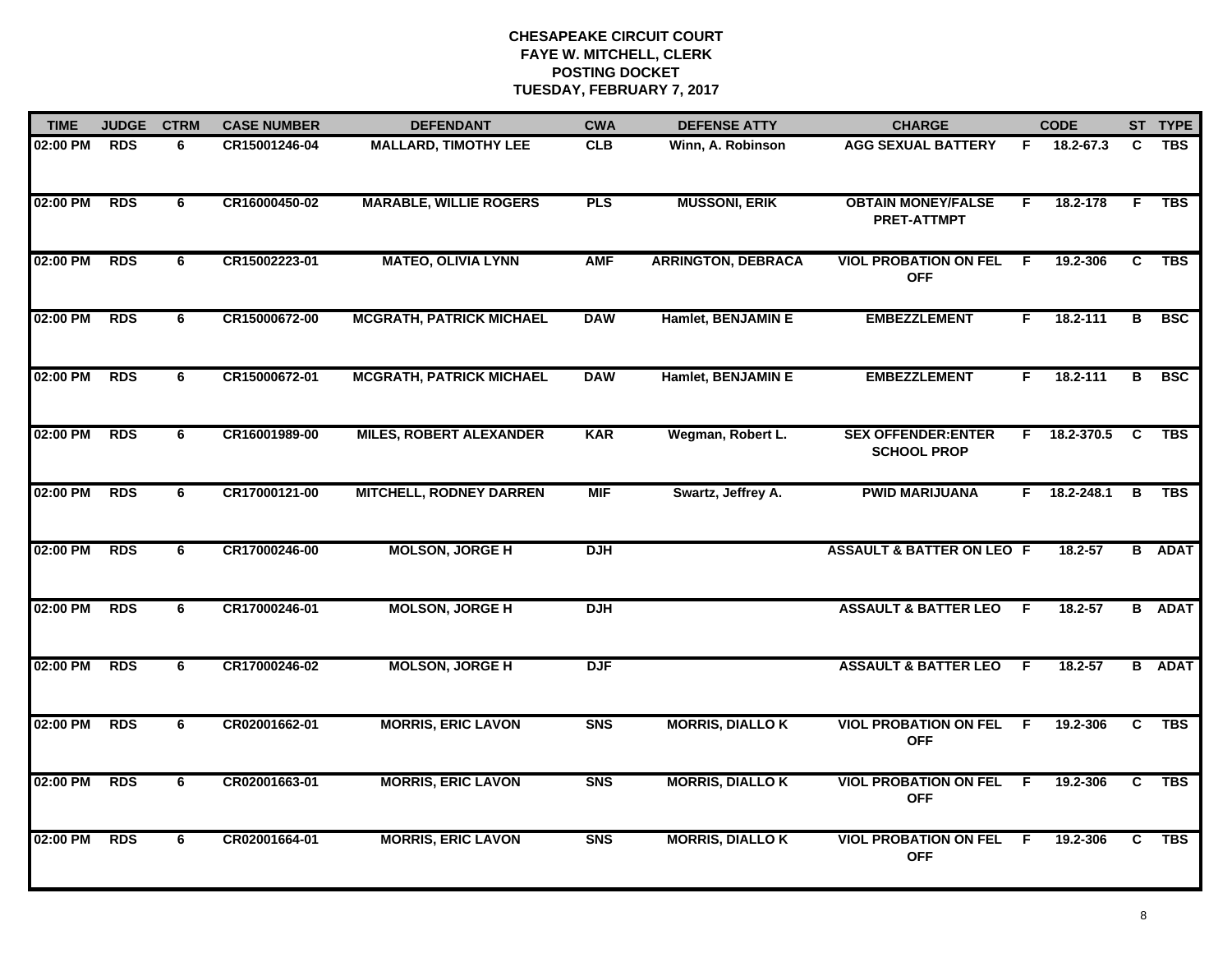| <b>TIME</b> | <b>JUDGE</b> | <b>CTRM</b> | <b>CASE NUMBER</b> | <b>DEFENDANT</b>                | <b>CWA</b> | <b>DEFENSE ATTY</b>       | <b>CHARGE</b>                                    |     | <b>CODE</b>  |    | ST TYPE       |
|-------------|--------------|-------------|--------------------|---------------------------------|------------|---------------------------|--------------------------------------------------|-----|--------------|----|---------------|
| 02:00 PM    | <b>RDS</b>   | 6           | CR15001246-04      | <b>MALLARD, TIMOTHY LEE</b>     | <b>CLB</b> | Winn, A. Robinson         | <b>AGG SEXUAL BATTERY</b>                        | F.  | 18.2-67.3    | C  | <b>TBS</b>    |
| 02:00 PM    | <b>RDS</b>   | 6           | CR16000450-02      | <b>MARABLE, WILLIE ROGERS</b>   | <b>PLS</b> | <b>MUSSONI, ERIK</b>      | <b>OBTAIN MONEY/FALSE</b><br><b>PRET-ATTMPT</b>  | F.  | 18.2-178     | F. | <b>TBS</b>    |
| 02:00 PM    | <b>RDS</b>   | 6           | CR15002223-01      | <b>MATEO, OLIVIA LYNN</b>       | <b>AMF</b> | <b>ARRINGTON, DEBRACA</b> | <b>VIOL PROBATION ON FEL</b><br><b>OFF</b>       | E   | 19.2-306     | C  | <b>TBS</b>    |
| 02:00 PM    | <b>RDS</b>   | 6           | CR15000672-00      | <b>MCGRATH, PATRICK MICHAEL</b> | <b>DAW</b> | Hamlet, BENJAMIN E        | <b>EMBEZZLEMENT</b>                              | F.  | $18.2 - 111$ | в  | <b>BSC</b>    |
| 02:00 PM    | <b>RDS</b>   | 6           | CR15000672-01      | <b>MCGRATH, PATRICK MICHAEL</b> | <b>DAW</b> | Hamlet, BENJAMIN E        | <b>EMBEZZLEMENT</b>                              | F.  | 18.2-111     | в  | <b>BSC</b>    |
| 02:00 PM    | <b>RDS</b>   | 6           | CR16001989-00      | <b>MILES, ROBERT ALEXANDER</b>  | <b>KAR</b> | Wegman, Robert L.         | <b>SEX OFFENDER: ENTER</b><br><b>SCHOOL PROP</b> |     | F 18.2-370.5 | C  | <b>TBS</b>    |
| 02:00 PM    | <b>RDS</b>   | 6           | CR17000121-00      | <b>MITCHELL, RODNEY DARREN</b>  | <b>MIF</b> | Swartz, Jeffrey A.        | <b>PWID MARIJUANA</b>                            |     | F 18.2-248.1 | В  | TBS           |
| 02:00 PM    | <b>RDS</b>   | 6           | CR17000246-00      | <b>MOLSON, JORGE H</b>          | <b>DJH</b> |                           | <b>ASSAULT &amp; BATTER ON LEO F</b>             |     | 18.2-57      |    | <b>B</b> ADAT |
| 02:00 PM    | <b>RDS</b>   | 6           | CR17000246-01      | <b>MOLSON, JORGE H</b>          | <b>DJH</b> |                           | <b>ASSAULT &amp; BATTER LEO</b>                  | F.  | 18.2-57      |    | <b>B</b> ADAT |
| 02:00 PM    | <b>RDS</b>   | 6           | CR17000246-02      | <b>MOLSON, JORGE H</b>          | <b>DJF</b> |                           | <b>ASSAULT &amp; BATTER LEO</b>                  | E   | 18.2-57      |    | <b>B</b> ADAT |
| 02:00 PM    | <b>RDS</b>   | 6           | CR02001662-01      | <b>MORRIS, ERIC LAVON</b>       | <b>SNS</b> | <b>MORRIS, DIALLO K</b>   | <b>VIOL PROBATION ON FEL F</b><br><b>OFF</b>     |     | 19.2-306     | C  | <b>TBS</b>    |
| 02:00 PM    | <b>RDS</b>   | 6           | CR02001663-01      | <b>MORRIS, ERIC LAVON</b>       | <b>SNS</b> | <b>MORRIS, DIALLO K</b>   | <b>VIOL PROBATION ON FEL</b><br><b>OFF</b>       | F.  | 19.2-306     | C  | <b>TBS</b>    |
| 02:00 PM    | <b>RDS</b>   | 6           | CR02001664-01      | <b>MORRIS, ERIC LAVON</b>       | <b>SNS</b> | <b>MORRIS, DIALLO K</b>   | <b>VIOL PROBATION ON FEL</b><br><b>OFF</b>       | - F | 19.2-306     | C  | <b>TBS</b>    |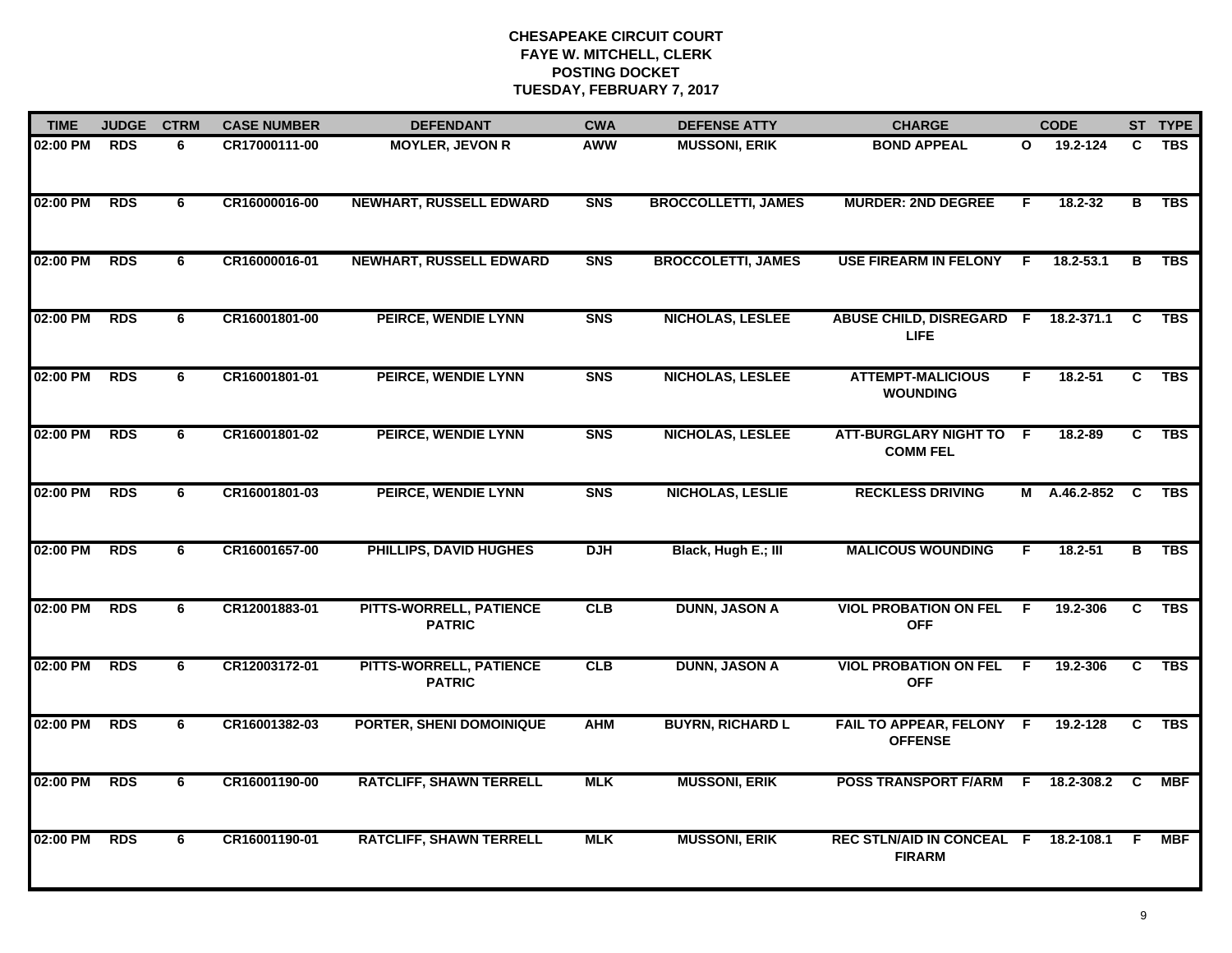| <b>TIME</b> | <b>JUDGE</b> | <b>CTRM</b> | <b>CASE NUMBER</b> | <b>DEFENDANT</b>                                | <b>CWA</b>     | <b>DEFENSE ATTY</b>        | <b>CHARGE</b>                                  |     | <b>CODE</b>        |                         | ST TYPE    |
|-------------|--------------|-------------|--------------------|-------------------------------------------------|----------------|----------------------------|------------------------------------------------|-----|--------------------|-------------------------|------------|
| 02:00 PM    | <b>RDS</b>   | 6           | CR17000111-00      | <b>MOYLER, JEVON R</b>                          | <b>AWW</b>     | <b>MUSSONI, ERIK</b>       | <b>BOND APPEAL</b>                             | O   | 19.2-124           | C                       | <b>TBS</b> |
| 02:00 PM    | <b>RDS</b>   | 6           | CR16000016-00      | <b>NEWHART, RUSSELL EDWARD</b>                  | <b>SNS</b>     | <b>BROCCOLLETTI, JAMES</b> | <b>MURDER: 2ND DEGREE</b>                      | F.  | $18.2 - 32$        | $\overline{B}$          | <b>TBS</b> |
| 02:00 PM    | <b>RDS</b>   | 6           | CR16000016-01      | <b>NEWHART, RUSSELL EDWARD</b>                  | <b>SNS</b>     | <b>BROCCOLETTI, JAMES</b>  | <b>USE FIREARM IN FELONY</b>                   | -F. | 18.2-53.1          | В                       | <b>TBS</b> |
| 02:00 PM    | <b>RDS</b>   | 6           | CR16001801-00      | PEIRCE, WENDIE LYNN                             | <b>SNS</b>     | <b>NICHOLAS, LESLEE</b>    | <b>ABUSE CHILD, DISREGARD F</b><br><b>LIFE</b> |     | 18.2-371.1         | C                       | <b>TBS</b> |
| 02:00 PM    | <b>RDS</b>   | 6           | CR16001801-01      | PEIRCE, WENDIE LYNN                             | S <sub>N</sub> | <b>NICHOLAS, LESLEE</b>    | <b>ATTEMPT-MALICIOUS</b><br><b>WOUNDING</b>    | F.  | $18.2 - 51$        | C.                      | <b>TBS</b> |
| 02:00 PM    | <b>RDS</b>   | 6           | CR16001801-02      | PEIRCE, WENDIE LYNN                             | <b>SNS</b>     | <b>NICHOLAS, LESLEE</b>    | ATT-BURGLARY NIGHT TO F<br><b>COMM FEL</b>     |     | 18.2-89            | C.                      | <b>TBS</b> |
| 02:00 PM    | <b>RDS</b>   | 6           | CR16001801-03      | PEIRCE, WENDIE LYNN                             | <b>SNS</b>     | <b>NICHOLAS, LESLIE</b>    | <b>RECKLESS DRIVING</b>                        | M   | A.46.2-852         | $\overline{\mathbf{c}}$ | <b>TBS</b> |
| 02:00 PM    | <b>RDS</b>   | 6           | CR16001657-00      | PHILLIPS, DAVID HUGHES                          | <b>DJH</b>     | Black, Hugh E.; III        | <b>MALICOUS WOUNDING</b>                       | F.  | $18.2 - 51$        | в                       | <b>TBS</b> |
| 02:00 PM    | <b>RDS</b>   | 6           | CR12001883-01      | <b>PITTS-WORRELL, PATIENCE</b><br><b>PATRIC</b> | CLB            | <b>DUNN, JASON A</b>       | <b>VIOL PROBATION ON FEL</b><br><b>OFF</b>     | - F | 19.2-306           | C                       | <b>TBS</b> |
| 02:00 PM    | <b>RDS</b>   | 6           | CR12003172-01      | <b>PITTS-WORRELL, PATIENCE</b><br><b>PATRIC</b> | CLB            | <b>DUNN, JASON A</b>       | <b>VIOL PROBATION ON FEL</b><br><b>OFF</b>     | -F  | 19.2-306           | C                       | <b>TBS</b> |
| 02:00 PM    | <b>RDS</b>   | 6           | CR16001382-03      | PORTER, SHENI DOMOINIQUE                        | <b>AHM</b>     | <b>BUYRN, RICHARD L</b>    | FAIL TO APPEAR, FELONY F<br><b>OFFENSE</b>     |     | 19.2-128           | C                       | <b>TBS</b> |
| 02:00 PM    | <b>RDS</b>   | 6           | CR16001190-00      | <b>RATCLIFF, SHAWN TERRELL</b>                  | <b>MLK</b>     | <b>MUSSONI, ERIK</b>       | <b>POSS TRANSPORT F/ARM</b>                    |     | $F = 18.2 - 308.2$ | C                       | <b>MBF</b> |
| 02:00 PM    | <b>RDS</b>   | 6           | CR16001190-01      | <b>RATCLIFF, SHAWN TERRELL</b>                  | <b>MLK</b>     | <b>MUSSONI, ERIK</b>       | REC STLN/AID IN CONCEAL F<br><b>FIRARM</b>     |     | 18.2-108.1         | - F                     | <b>MBF</b> |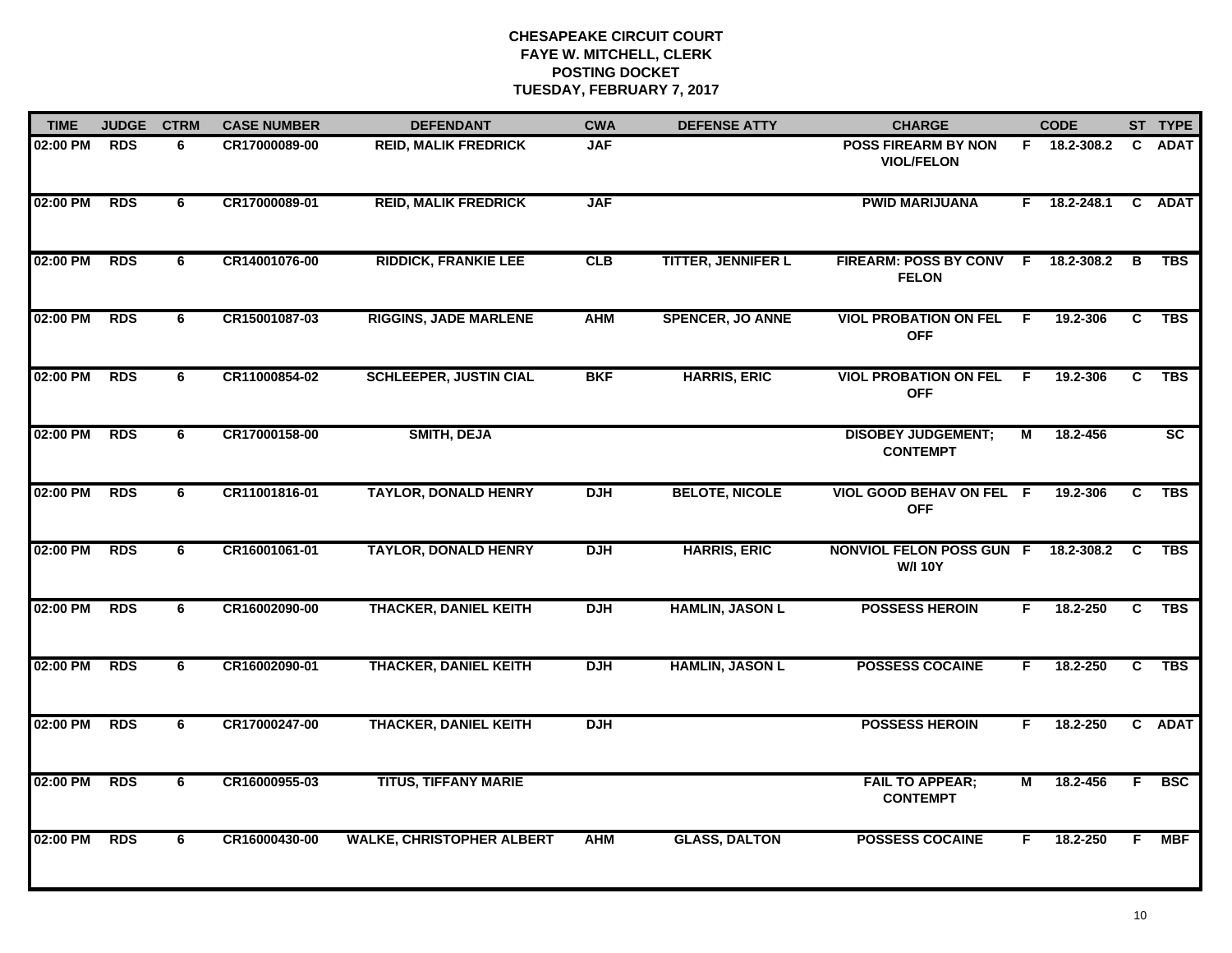| <b>TIME</b> | <b>JUDGE</b> | <b>CTRM</b> | <b>CASE NUMBER</b> | <b>DEFENDANT</b>                 | <b>CWA</b> | <b>DEFENSE ATTY</b>       | <b>CHARGE</b>                                         |                         | <b>CODE</b>    |                | ST TYPE                |
|-------------|--------------|-------------|--------------------|----------------------------------|------------|---------------------------|-------------------------------------------------------|-------------------------|----------------|----------------|------------------------|
| 02:00 PM    | <b>RDS</b>   | 6           | CR17000089-00      | <b>REID, MALIK FREDRICK</b>      | <b>JAF</b> |                           | <b>POSS FIREARM BY NON</b><br><b>VIOL/FELON</b>       |                         | F 18.2-308.2   | C              | <b>ADAT</b>            |
| 02:00 PM    | <b>RDS</b>   | 6           | CR17000089-01      | <b>REID, MALIK FREDRICK</b>      | <b>JAF</b> |                           | <b>PWID MARIJUANA</b>                                 |                         | $F$ 18.2-248.1 |                | C ADAT                 |
| 02:00 PM    | <b>RDS</b>   | 6           | CR14001076-00      | <b>RIDDICK, FRANKIE LEE</b>      | CLB        | <b>TITTER, JENNIFER L</b> | FIREARM: POSS BY CONV F 18.2-308.2<br><b>FELON</b>    |                         |                | В              | <b>TBS</b>             |
| 02:00 PM    | <b>RDS</b>   | 6           | CR15001087-03      | <b>RIGGINS, JADE MARLENE</b>     | <b>AHM</b> | <b>SPENCER, JO ANNE</b>   | <b>VIOL PROBATION ON FEL F</b><br><b>OFF</b>          |                         | 19.2-306       | C              | <b>TBS</b>             |
| 02:00 PM    | <b>RDS</b>   | 6           | CR11000854-02      | <b>SCHLEEPER, JUSTIN CIAL</b>    | <b>BKF</b> | <b>HARRIS, ERIC</b>       | <b>VIOL PROBATION ON FEL F</b><br><b>OFF</b>          |                         | 19.2-306       | C.             | <b>TBS</b>             |
| 02:00 PM    | <b>RDS</b>   | 6           | CR17000158-00      | <b>SMITH, DEJA</b>               |            |                           | <b>DISOBEY JUDGEMENT;</b><br><b>CONTEMPT</b>          | М                       | 18.2-456       |                | $\overline{\text{sc}}$ |
| 02:00 PM    | <b>RDS</b>   | 6           | CR11001816-01      | <b>TAYLOR, DONALD HENRY</b>      | <b>DJH</b> | <b>BELOTE, NICOLE</b>     | VIOL GOOD BEHAV ON FEL F<br><b>OFF</b>                |                         | 19.2-306       | C              | <b>TBS</b>             |
| 02:00 PM    | <b>RDS</b>   | 6           | CR16001061-01      | <b>TAYLOR, DONALD HENRY</b>      | <b>DJH</b> | <b>HARRIS, ERIC</b>       | NONVIOL FELON POSS GUN F 18.2-308.2<br><b>W/I 10Y</b> |                         |                | C.             | <b>TBS</b>             |
| 02:00 PM    | <b>RDS</b>   | 6           | CR16002090-00      | <b>THACKER, DANIEL KEITH</b>     | <b>DJH</b> | <b>HAMLIN, JASON L</b>    | <b>POSSESS HEROIN</b>                                 | F.                      | 18.2-250       | C              | <b>TBS</b>             |
| 02:00 PM    | <b>RDS</b>   | 6           | CR16002090-01      | <b>THACKER, DANIEL KEITH</b>     | <b>DJH</b> | <b>HAMLIN, JASON L</b>    | <b>POSSESS COCAINE</b>                                | F.                      | 18.2-250       | C.             | <b>TBS</b>             |
| 02:00 PM    | <b>RDS</b>   | 6           | CR17000247-00      | <b>THACKER, DANIEL KEITH</b>     | <b>DJH</b> |                           | <b>POSSESS HEROIN</b>                                 | F.                      | 18.2-250       |                | C ADAT                 |
| 02:00 PM    | <b>RDS</b>   | 6           | CR16000955-03      | <b>TITUS, TIFFANY MARIE</b>      |            |                           | <b>FAIL TO APPEAR;</b><br><b>CONTEMPT</b>             | $\overline{\mathsf{M}}$ | 18.2-456       | $\overline{F}$ | <b>BSC</b>             |
| 02:00 PM    | <b>RDS</b>   | 6           | CR16000430-00      | <b>WALKE, CHRISTOPHER ALBERT</b> | <b>AHM</b> | <b>GLASS, DALTON</b>      | <b>POSSESS COCAINE</b>                                | F.                      | 18.2-250       | F.             | <b>MBF</b>             |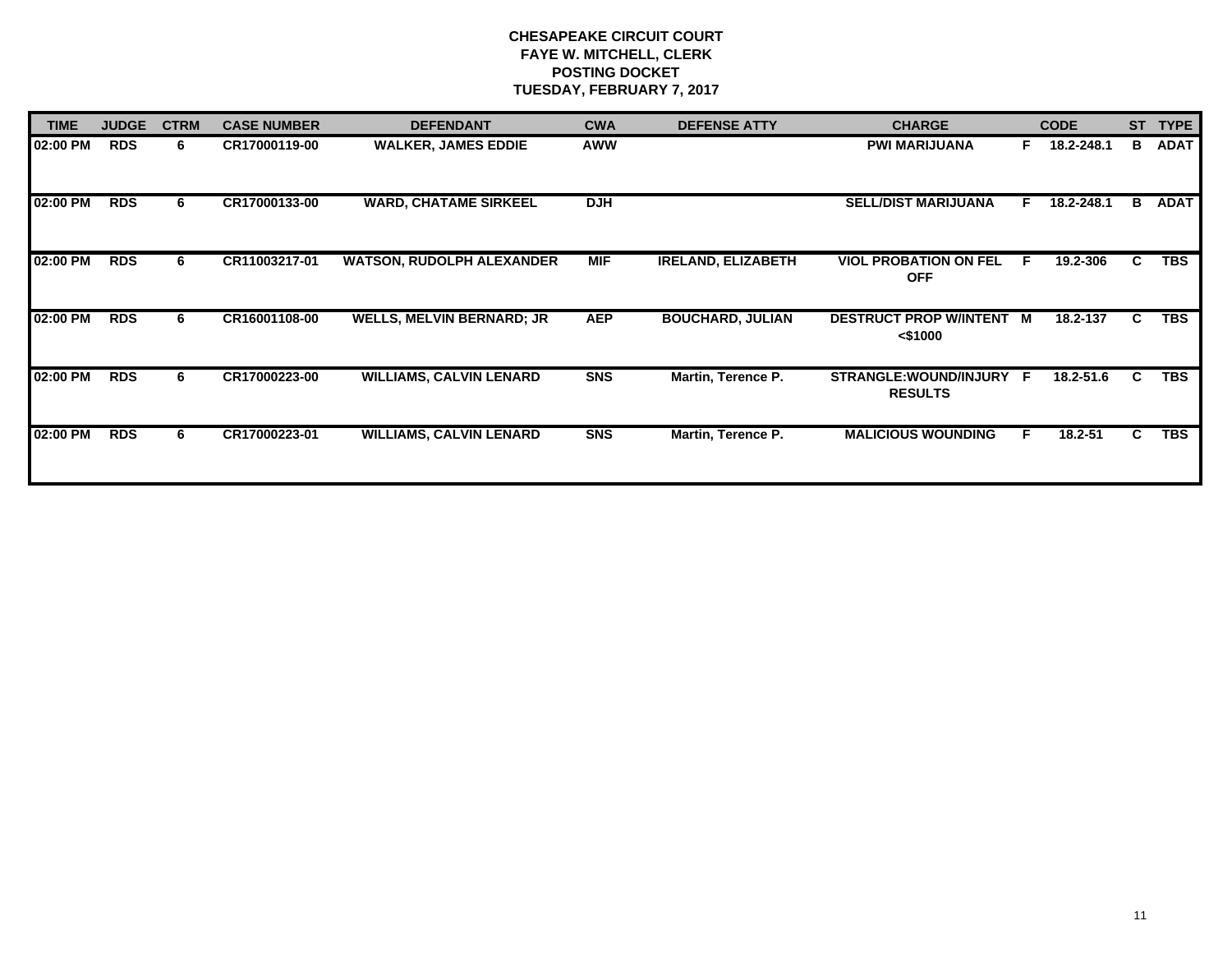| <b>TIME</b> | <b>JUDGE</b> | <b>CTRM</b> | <b>CASE NUMBER</b> | <b>DEFENDANT</b>                 | <b>CWA</b> | <b>DEFENSE ATTY</b>       | <b>CHARGE</b>                              |    | <b>CODE</b> | <b>ST</b> | <b>TYPE</b> |
|-------------|--------------|-------------|--------------------|----------------------------------|------------|---------------------------|--------------------------------------------|----|-------------|-----------|-------------|
| 02:00 PM    | <b>RDS</b>   | 6.          | CR17000119-00      | <b>WALKER, JAMES EDDIE</b>       | <b>AWW</b> |                           | <b>PWI MARIJUANA</b>                       | F. | 18.2-248.1  | В         | <b>ADAT</b> |
| 02:00 PM    | <b>RDS</b>   | 6           | CR17000133-00      | <b>WARD, CHATAME SIRKEEL</b>     | <b>DJH</b> |                           | <b>SELL/DIST MARIJUANA</b>                 | F. | 18.2-248.1  | B         | <b>ADAT</b> |
| 02:00 PM    | <b>RDS</b>   | 6           | CR11003217-01      | <b>WATSON, RUDOLPH ALEXANDER</b> | <b>MIF</b> | <b>IRELAND, ELIZABETH</b> | <b>VIOL PROBATION ON FEL</b><br><b>OFF</b> | E  | 19.2-306    | C.        | <b>TBS</b>  |
| 02:00 PM    | <b>RDS</b>   | 6           | CR16001108-00      | <b>WELLS, MELVIN BERNARD; JR</b> | <b>AEP</b> | <b>BOUCHARD, JULIAN</b>   | DESTRUCT PROP W/INTENT M<br>$<$ \$1000     |    | 18.2-137    | C.        | <b>TBS</b>  |
| 02:00 PM    | <b>RDS</b>   | 6           | CR17000223-00      | <b>WILLIAMS, CALVIN LENARD</b>   | <b>SNS</b> | Martin, Terence P.        | STRANGLE:WOUND/INJURY F<br><b>RESULTS</b>  |    | 18.2-51.6   | C.        | <b>TBS</b>  |
| 02:00 PM    | <b>RDS</b>   | 6.          | CR17000223-01      | <b>WILLIAMS, CALVIN LENARD</b>   | <b>SNS</b> | Martin, Terence P.        | <b>MALICIOUS WOUNDING</b>                  | F  | 18.2-51     | C.        | <b>TBS</b>  |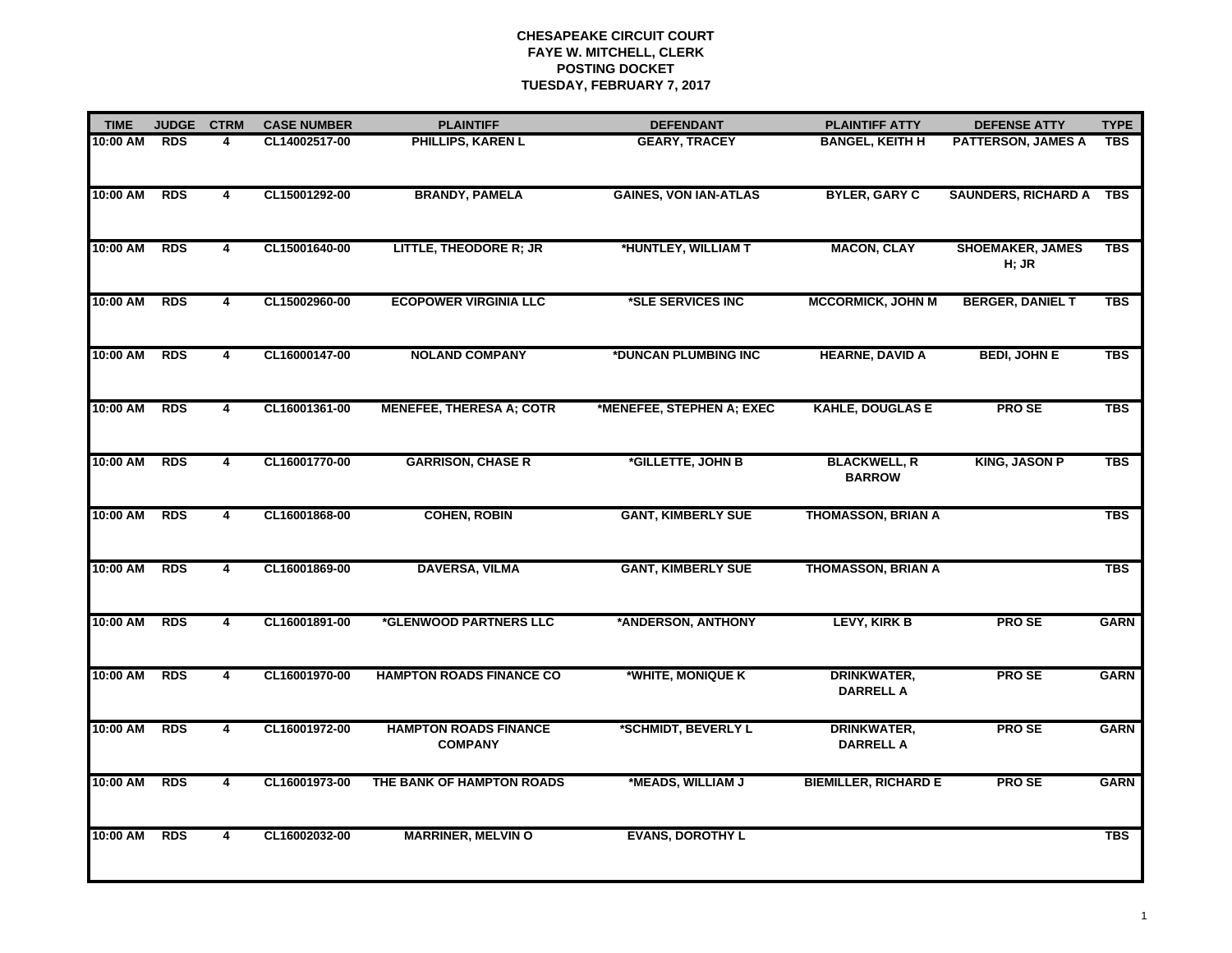| <b>TIME</b> | <b>JUDGE</b> | <b>CTRM</b>    | <b>CASE NUMBER</b> | <b>PLAINTIFF</b>                               | <b>DEFENDANT</b>             | <b>PLAINTIFF ATTY</b>                  | <b>DEFENSE ATTY</b>              | <b>TYPE</b> |
|-------------|--------------|----------------|--------------------|------------------------------------------------|------------------------------|----------------------------------------|----------------------------------|-------------|
| 10:00 AM    | <b>RDS</b>   | 4              | CL14002517-00      | PHILLIPS, KAREN L                              | <b>GEARY, TRACEY</b>         | <b>BANGEL, KEITH H</b>                 | <b>PATTERSON, JAMES A</b>        | <b>TBS</b>  |
| 10:00 AM    | <b>RDS</b>   | 4              | CL15001292-00      | <b>BRANDY, PAMELA</b>                          | <b>GAINES, VON IAN-ATLAS</b> | <b>BYLER, GARY C</b>                   | <b>SAUNDERS, RICHARD A</b>       | TBS         |
| 10:00 AM    | <b>RDS</b>   | 4              | CL15001640-00      | <b>LITTLE, THEODORE R; JR</b>                  | *HUNTLEY, WILLIAM T          | <b>MACON, CLAY</b>                     | <b>SHOEMAKER, JAMES</b><br>H; JR | <b>TBS</b>  |
| 10:00 AM    | RDS          | 4              | CL15002960-00      | <b>ECOPOWER VIRGINIA LLC</b>                   | *SLE SERVICES INC            | <b>MCCORMICK, JOHN M</b>               | <b>BERGER, DANIEL T</b>          | <b>TBS</b>  |
| 10:00 AM    | <b>RDS</b>   | 4              | CL16000147-00      | <b>NOLAND COMPANY</b>                          | *DUNCAN PLUMBING INC         | <b>HEARNE, DAVID A</b>                 | <b>BEDI, JOHN E</b>              | <b>TBS</b>  |
| 10:00 AM    | <b>RDS</b>   | 4              | CL16001361-00      | <b>MENEFEE, THERESA A; COTR</b>                | *MENEFEE, STEPHEN A; EXEC    | <b>KAHLE, DOUGLAS E</b>                | <b>PROSE</b>                     | <b>TBS</b>  |
| 10:00 AM    | <b>RDS</b>   | 4              | CL16001770-00      | <b>GARRISON, CHASE R</b>                       | *GILLETTE, JOHN B            | <b>BLACKWELL, R</b><br><b>BARROW</b>   | <b>KING, JASON P</b>             | <b>TBS</b>  |
| 10:00 AM    | <b>RDS</b>   | 4              | CL16001868-00      | <b>COHEN, ROBIN</b>                            | <b>GANT, KIMBERLY SUE</b>    | <b>THOMASSON, BRIAN A</b>              |                                  | <b>TBS</b>  |
| 10:00 AM    | <b>RDS</b>   | 4              | CL16001869-00      | <b>DAVERSA, VILMA</b>                          | <b>GANT, KIMBERLY SUE</b>    | <b>THOMASSON, BRIAN A</b>              |                                  | <b>TBS</b>  |
| 10:00 AM    | <b>RDS</b>   | 4              | CL16001891-00      | *GLENWOOD PARTNERS LLC                         | *ANDERSON, ANTHONY           | LEVY, KIRK B                           | <b>PROSE</b>                     | <b>GARN</b> |
| 10:00 AM    | <b>RDS</b>   | 4              | CL16001970-00      | <b>HAMPTON ROADS FINANCE CO</b>                | *WHITE, MONIQUE K            | <b>DRINKWATER,</b><br><b>DARRELL A</b> | <b>PROSE</b>                     | <b>GARN</b> |
| 10:00 AM    | <b>RDS</b>   | $\overline{4}$ | CL16001972-00      | <b>HAMPTON ROADS FINANCE</b><br><b>COMPANY</b> | *SCHMIDT, BEVERLY L          | <b>DRINKWATER,</b><br><b>DARRELL A</b> | <b>PROSE</b>                     | <b>GARN</b> |
| 10:00 AM    | <b>RDS</b>   | 4              | CL16001973-00      | THE BANK OF HAMPTON ROADS                      | *MEADS, WILLIAM J            | <b>BIEMILLER, RICHARD E</b>            | <b>PROSE</b>                     | <b>GARN</b> |
| 10:00 AM    | <b>RDS</b>   | $\overline{4}$ | CL16002032-00      | <b>MARRINER, MELVIN O</b>                      | <b>EVANS, DOROTHY L</b>      |                                        |                                  | <b>TBS</b>  |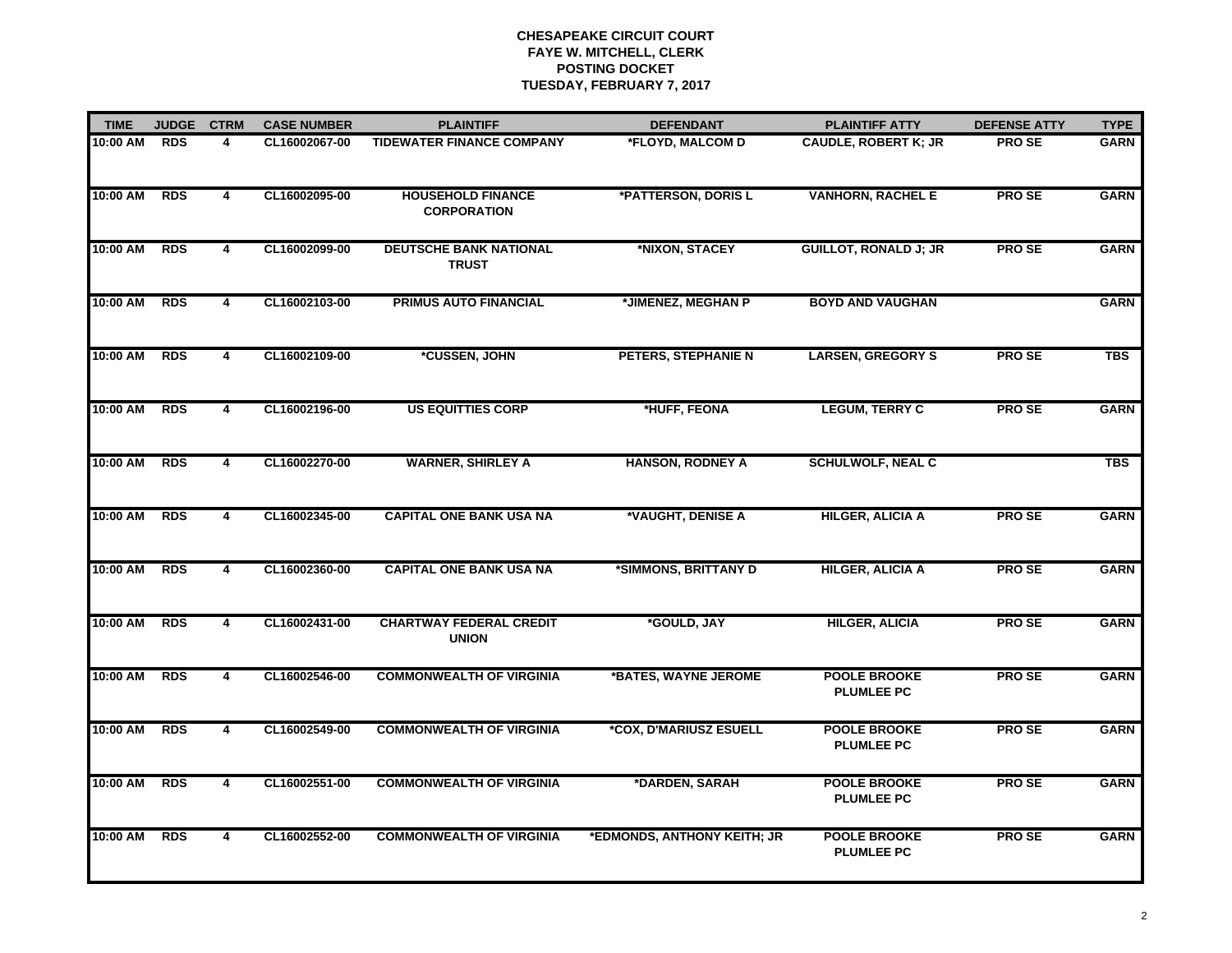| <b>TIME</b> | <b>JUDGE</b> | <b>CTRM</b>             | <b>CASE NUMBER</b> | <b>PLAINTIFF</b>                               | <b>DEFENDANT</b>            | <b>PLAINTIFF ATTY</b>                    | <b>DEFENSE ATTY</b> | <b>TYPE</b> |
|-------------|--------------|-------------------------|--------------------|------------------------------------------------|-----------------------------|------------------------------------------|---------------------|-------------|
| 10:00 AM    | <b>RDS</b>   | 4                       | CL16002067-00      | <b>TIDEWATER FINANCE COMPANY</b>               | *FLOYD, MALCOM D            | <b>CAUDLE, ROBERT K; JR</b>              | <b>PROSE</b>        | <b>GARN</b> |
| 10:00 AM    | <b>RDS</b>   | 4                       | CL16002095-00      | <b>HOUSEHOLD FINANCE</b><br><b>CORPORATION</b> | *PATTERSON, DORIS L         | <b>VANHORN, RACHEL E</b>                 | <b>PROSE</b>        | <b>GARN</b> |
| 10:00 AM    | <b>RDS</b>   | 4                       | CL16002099-00      | <b>DEUTSCHE BANK NATIONAL</b><br><b>TRUST</b>  | *NIXON, STACEY              | <b>GUILLOT, RONALD J; JR</b>             | <b>PROSE</b>        | <b>GARN</b> |
| 10:00 AM    | <b>RDS</b>   | $\overline{4}$          | CL16002103-00      | <b>PRIMUS AUTO FINANCIAL</b>                   | *JIMENEZ, MEGHAN P          | <b>BOYD AND VAUGHAN</b>                  |                     | <b>GARN</b> |
| 10:00 AM    | <b>RDS</b>   | 4                       | CL16002109-00      | *CUSSEN, JOHN                                  | PETERS, STEPHANIE N         | <b>LARSEN, GREGORY S</b>                 | <b>PROSE</b>        | <b>TBS</b>  |
| 10:00 AM    | RDS          | $\overline{4}$          | CL16002196-00      | <b>US EQUITTIES CORP</b>                       | *HUFF, FEONA                | <b>LEGUM, TERRY C</b>                    | <b>PROSE</b>        | <b>GARN</b> |
| 10:00 AM    | <b>RDS</b>   | 4                       | CL16002270-00      | <b>WARNER, SHIRLEY A</b>                       | <b>HANSON, RODNEY A</b>     | <b>SCHULWOLF, NEAL C</b>                 |                     | <b>TBS</b>  |
| 10:00 AM    | <b>RDS</b>   | 4                       | CL16002345-00      | <b>CAPITAL ONE BANK USA NA</b>                 | *VAUGHT, DENISE A           | <b>HILGER, ALICIA A</b>                  | <b>PROSE</b>        | <b>GARN</b> |
| 10:00 AM    | <b>RDS</b>   | $\overline{\mathbf{4}}$ | CL16002360-00      | <b>CAPITAL ONE BANK USA NA</b>                 | *SIMMONS, BRITTANY D        | <b>HILGER, ALICIA A</b>                  | <b>PROSE</b>        | <b>GARN</b> |
| 10:00 AM    | <b>RDS</b>   | 4                       | CL16002431-00      | <b>CHARTWAY FEDERAL CREDIT</b><br><b>UNION</b> | *GOULD, JAY                 | <b>HILGER, ALICIA</b>                    | <b>PROSE</b>        | <b>GARN</b> |
| 10:00 AM    | RDS          | 4                       | CL16002546-00      | <b>COMMONWEALTH OF VIRGINIA</b>                | *BATES, WAYNE JEROME        | <b>POOLE BROOKE</b><br><b>PLUMLEE PC</b> | <b>PROSE</b>        | <b>GARN</b> |
| 10:00 AM    | <b>RDS</b>   | 4                       | CL16002549-00      | <b>COMMONWEALTH OF VIRGINIA</b>                | *COX, D'MARIUSZ ESUELL      | <b>POOLE BROOKE</b><br><b>PLUMLEE PC</b> | <b>PROSE</b>        | <b>GARN</b> |
| 10:00 AM    | <b>RDS</b>   | 4                       | CL16002551-00      | <b>COMMONWEALTH OF VIRGINIA</b>                | *DARDEN, SARAH              | <b>POOLE BROOKE</b><br><b>PLUMLEE PC</b> | <b>PROSE</b>        | <b>GARN</b> |
| 10:00 AM    | <b>RDS</b>   | $\overline{\mathbf{4}}$ | CL16002552-00      | <b>COMMONWEALTH OF VIRGINIA</b>                | *EDMONDS, ANTHONY KEITH; JR | <b>POOLE BROOKE</b><br><b>PLUMLEE PC</b> | <b>PROSE</b>        | <b>GARN</b> |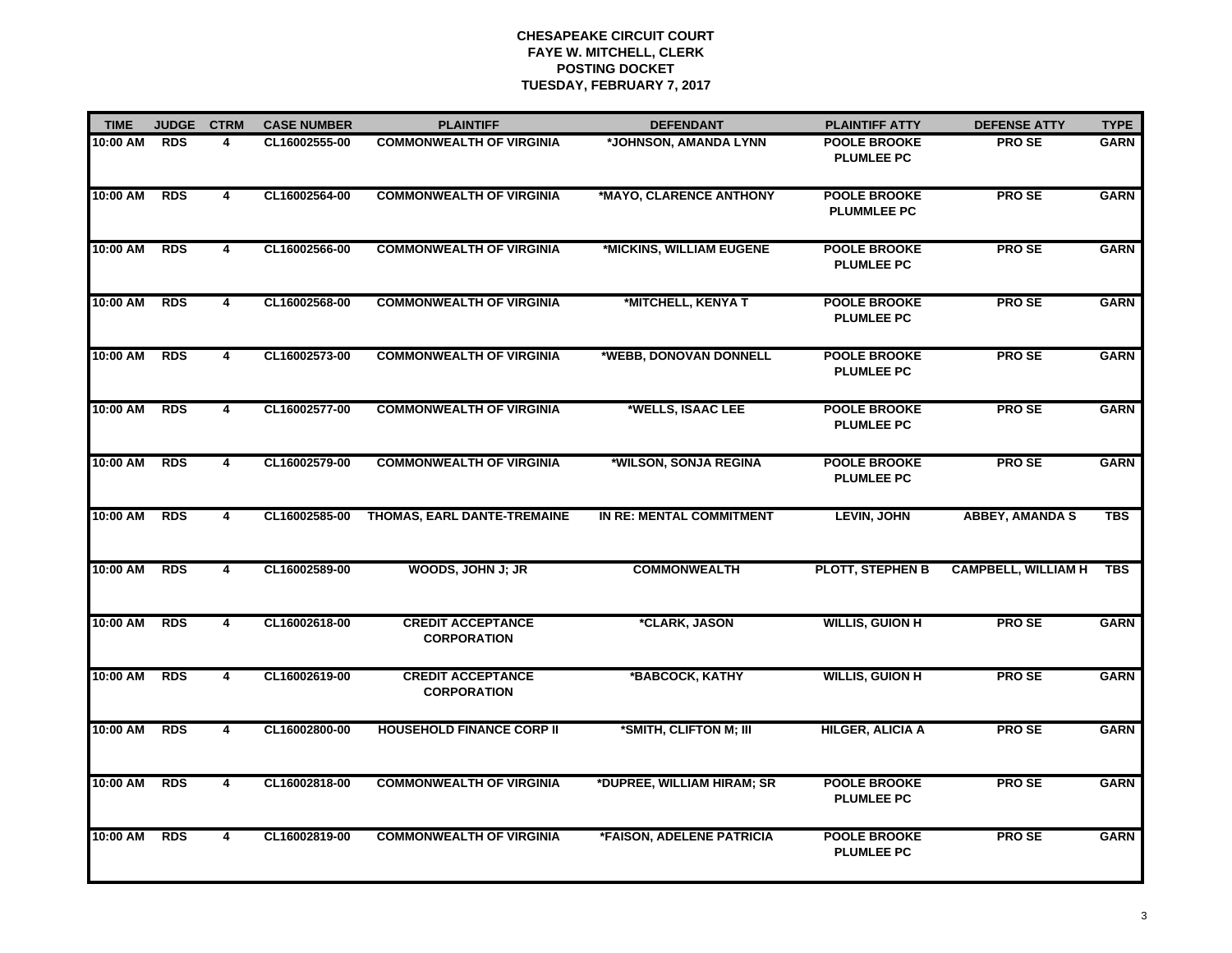| <b>TIME</b> | <b>JUDGE</b> | <b>CTRM</b>    | <b>CASE NUMBER</b> | <b>PLAINTIFF</b>                               | <b>DEFENDANT</b>           | <b>PLAINTIFF ATTY</b>                     | <b>DEFENSE ATTY</b>        | <b>TYPE</b> |
|-------------|--------------|----------------|--------------------|------------------------------------------------|----------------------------|-------------------------------------------|----------------------------|-------------|
| 10:00 AM    | <b>RDS</b>   | 4              | CL16002555-00      | <b>COMMONWEALTH OF VIRGINIA</b>                | *JOHNSON, AMANDA LYNN      | <b>POOLE BROOKE</b><br><b>PLUMLEE PC</b>  | <b>PROSE</b>               | <b>GARN</b> |
| 10:00 AM    | <b>RDS</b>   | 4              | CL16002564-00      | <b>COMMONWEALTH OF VIRGINIA</b>                | *MAYO, CLARENCE ANTHONY    | <b>POOLE BROOKE</b><br><b>PLUMMLEE PC</b> | <b>PROSE</b>               | <b>GARN</b> |
| 10:00 AM    | <b>RDS</b>   | 4              | CL16002566-00      | <b>COMMONWEALTH OF VIRGINIA</b>                | *MICKINS, WILLIAM EUGENE   | <b>POOLE BROOKE</b><br><b>PLUMLEE PC</b>  | <b>PROSE</b>               | <b>GARN</b> |
| 10:00 AM    | <b>RDS</b>   | 4              | CL16002568-00      | <b>COMMONWEALTH OF VIRGINIA</b>                | *MITCHELL, KENYA T         | <b>POOLE BROOKE</b><br><b>PLUMLEE PC</b>  | <b>PROSE</b>               | <b>GARN</b> |
| 10:00 AM    | <b>RDS</b>   | 4              | CL16002573-00      | <b>COMMONWEALTH OF VIRGINIA</b>                | *WEBB, DONOVAN DONNELL     | <b>POOLE BROOKE</b><br><b>PLUMLEE PC</b>  | <b>PROSE</b>               | <b>GARN</b> |
| 10:00 AM    | <b>RDS</b>   | 4              | CL16002577-00      | <b>COMMONWEALTH OF VIRGINIA</b>                | *WELLS, ISAAC LEE          | <b>POOLE BROOKE</b><br><b>PLUMLEE PC</b>  | <b>PROSE</b>               | <b>GARN</b> |
| 10:00 AM    | <b>RDS</b>   | 4              | CL16002579-00      | <b>COMMONWEALTH OF VIRGINIA</b>                | *WILSON, SONJA REGINA      | <b>POOLE BROOKE</b><br><b>PLUMLEE PC</b>  | <b>PROSE</b>               | <b>GARN</b> |
| 10:00 AM    | <b>RDS</b>   | 4              | CL16002585-00      | THOMAS, EARL DANTE-TREMAINE                    | IN RE: MENTAL COMMITMENT   | <b>LEVIN, JOHN</b>                        | <b>ABBEY, AMANDA S</b>     | <b>TBS</b>  |
| 10:00 AM    | <b>RDS</b>   | $\overline{4}$ | CL16002589-00      | WOODS, JOHN J; JR                              | <b>COMMONWEALTH</b>        | PLOTT, STEPHEN B                          | <b>CAMPBELL, WILLIAM H</b> | <b>TBS</b>  |
| 10:00 AM    | <b>RDS</b>   | 4              | CL16002618-00      | <b>CREDIT ACCEPTANCE</b><br><b>CORPORATION</b> | *CLARK, JASON              | <b>WILLIS, GUION H</b>                    | <b>PROSE</b>               | <b>GARN</b> |
| 10:00 AM    | <b>RDS</b>   | 4              | CL16002619-00      | <b>CREDIT ACCEPTANCE</b><br><b>CORPORATION</b> | *BABCOCK, KATHY            | <b>WILLIS, GUION H</b>                    | <b>PROSE</b>               | <b>GARN</b> |
| 10:00 AM    | <b>RDS</b>   | 4              | CL16002800-00      | <b>HOUSEHOLD FINANCE CORP II</b>               | *SMITH, CLIFTON M; III     | <b>HILGER, ALICIA A</b>                   | <b>PROSE</b>               | <b>GARN</b> |
| 10:00 AM    | <b>RDS</b>   | 4              | CL16002818-00      | <b>COMMONWEALTH OF VIRGINIA</b>                | *DUPREE, WILLIAM HIRAM; SR | <b>POOLE BROOKE</b><br><b>PLUMLEE PC</b>  | <b>PROSE</b>               | <b>GARN</b> |
| 10:00 AM    | <b>RDS</b>   | 4              | CL16002819-00      | <b>COMMONWEALTH OF VIRGINIA</b>                | *FAISON, ADELENE PATRICIA  | <b>POOLE BROOKE</b><br><b>PLUMLEE PC</b>  | <b>PROSE</b>               | <b>GARN</b> |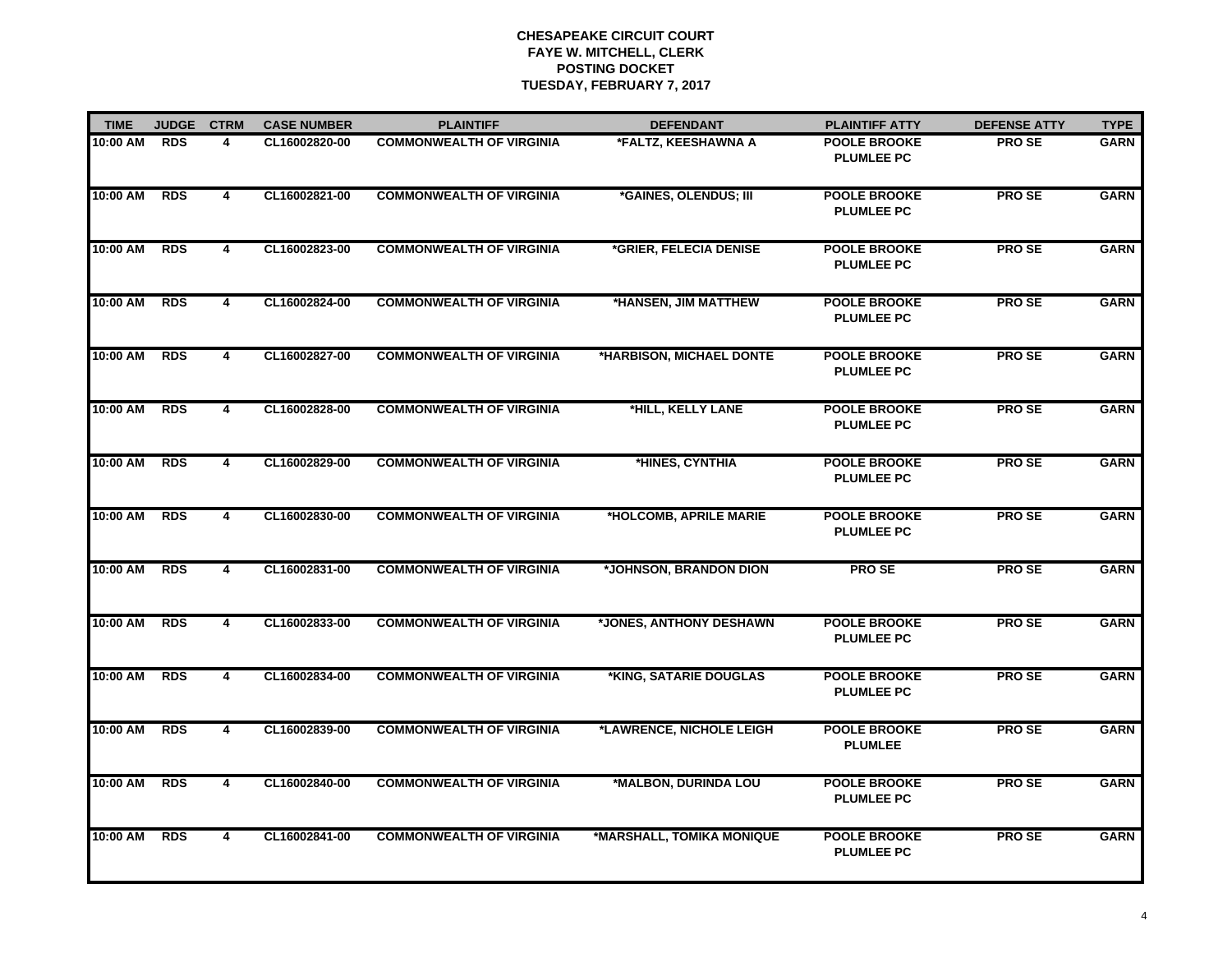| <b>TIME</b> | <b>JUDGE</b> | <b>CTRM</b>    | <b>CASE NUMBER</b> | <b>PLAINTIFF</b>                | <b>DEFENDANT</b>          | <b>PLAINTIFF ATTY</b>                    | <b>DEFENSE ATTY</b> | <b>TYPE</b> |
|-------------|--------------|----------------|--------------------|---------------------------------|---------------------------|------------------------------------------|---------------------|-------------|
| 10:00 AM    | <b>RDS</b>   | 4              | CL16002820-00      | <b>COMMONWEALTH OF VIRGINIA</b> | *FALTZ, KEESHAWNA A       | <b>POOLE BROOKE</b><br><b>PLUMLEE PC</b> | <b>PROSE</b>        | <b>GARN</b> |
| 10:00 AM    | <b>RDS</b>   | 4              | CL16002821-00      | <b>COMMONWEALTH OF VIRGINIA</b> | *GAINES, OLENDUS; III     | <b>POOLE BROOKE</b><br><b>PLUMLEE PC</b> | <b>PROSE</b>        | <b>GARN</b> |
| 10:00 AM    | <b>RDS</b>   | $\overline{4}$ | CL16002823-00      | <b>COMMONWEALTH OF VIRGINIA</b> | *GRIER, FELECIA DENISE    | <b>POOLE BROOKE</b><br><b>PLUMLEE PC</b> | <b>PROSE</b>        | <b>GARN</b> |
| 10:00 AM    | <b>RDS</b>   | $\overline{4}$ | CL16002824-00      | <b>COMMONWEALTH OF VIRGINIA</b> | *HANSEN, JIM MATTHEW      | <b>POOLE BROOKE</b><br><b>PLUMLEE PC</b> | <b>PROSE</b>        | <b>GARN</b> |
| 10:00 AM    | <b>RDS</b>   | 4              | CL16002827-00      | <b>COMMONWEALTH OF VIRGINIA</b> | *HARBISON, MICHAEL DONTE  | <b>POOLE BROOKE</b><br><b>PLUMLEE PC</b> | <b>PROSE</b>        | <b>GARN</b> |
| 10:00 AM    | <b>RDS</b>   | 4              | CL16002828-00      | <b>COMMONWEALTH OF VIRGINIA</b> | *HILL, KELLY LANE         | <b>POOLE BROOKE</b><br><b>PLUMLEE PC</b> | <b>PROSE</b>        | <b>GARN</b> |
| 10:00 AM    | <b>RDS</b>   | 4              | CL16002829-00      | <b>COMMONWEALTH OF VIRGINIA</b> | *HINES, CYNTHIA           | <b>POOLE BROOKE</b><br><b>PLUMLEE PC</b> | <b>PROSE</b>        | <b>GARN</b> |
| 10:00 AM    | <b>RDS</b>   | 4              | CL16002830-00      | <b>COMMONWEALTH OF VIRGINIA</b> | *HOLCOMB, APRILE MARIE    | <b>POOLE BROOKE</b><br><b>PLUMLEE PC</b> | <b>PROSE</b>        | <b>GARN</b> |
| 10:00 AM    | <b>RDS</b>   | $\overline{4}$ | CL16002831-00      | <b>COMMONWEALTH OF VIRGINIA</b> | *JOHNSON, BRANDON DION    | <b>PROSE</b>                             | <b>PROSE</b>        | <b>GARN</b> |
| 10:00 AM    | <b>RDS</b>   | 4              | CL16002833-00      | <b>COMMONWEALTH OF VIRGINIA</b> | *JONES, ANTHONY DESHAWN   | <b>POOLE BROOKE</b><br><b>PLUMLEE PC</b> | <b>PROSE</b>        | <b>GARN</b> |
| 10:00 AM    | <b>RDS</b>   | 4              | CL16002834-00      | <b>COMMONWEALTH OF VIRGINIA</b> | *KING, SATARIE DOUGLAS    | <b>POOLE BROOKE</b><br><b>PLUMLEE PC</b> | <b>PROSE</b>        | <b>GARN</b> |
| 10:00 AM    | <b>RDS</b>   | 4              | CL16002839-00      | <b>COMMONWEALTH OF VIRGINIA</b> | *LAWRENCE, NICHOLE LEIGH  | <b>POOLE BROOKE</b><br><b>PLUMLEE</b>    | <b>PROSE</b>        | <b>GARN</b> |
| 10:00 AM    | <b>RDS</b>   | 4              | CL16002840-00      | <b>COMMONWEALTH OF VIRGINIA</b> | *MALBON, DURINDA LOU      | <b>POOLE BROOKE</b><br><b>PLUMLEE PC</b> | <b>PROSE</b>        | <b>GARN</b> |
| 10:00 AM    | <b>RDS</b>   | 4              | CL16002841-00      | <b>COMMONWEALTH OF VIRGINIA</b> | *MARSHALL, TOMIKA MONIQUE | <b>POOLE BROOKE</b><br><b>PLUMLEE PC</b> | <b>PROSE</b>        | <b>GARN</b> |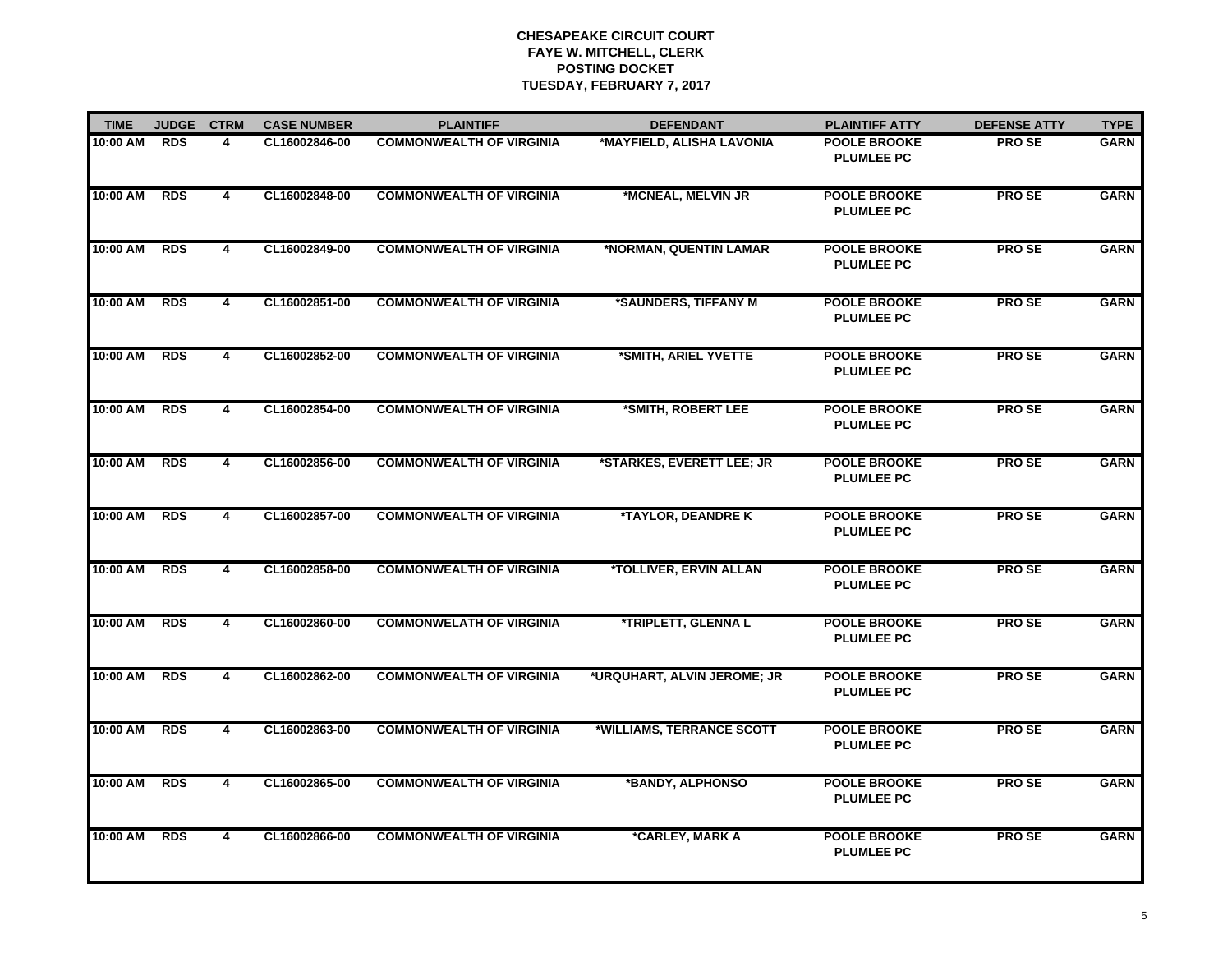| <b>TIME</b> | <b>JUDGE</b> | <b>CTRM</b>    | <b>CASE NUMBER</b> | <b>PLAINTIFF</b>                | <b>DEFENDANT</b>                     | <b>PLAINTIFF ATTY</b>                    | <b>DEFENSE ATTY</b> | <b>TYPE</b> |
|-------------|--------------|----------------|--------------------|---------------------------------|--------------------------------------|------------------------------------------|---------------------|-------------|
| 10:00 AM    | <b>RDS</b>   | 4              | CL16002846-00      | <b>COMMONWEALTH OF VIRGINIA</b> | *MAYFIELD, ALISHA LAVONIA            | <b>POOLE BROOKE</b><br><b>PLUMLEE PC</b> | <b>PROSE</b>        | <b>GARN</b> |
| 10:00 AM    | <b>RDS</b>   | 4              | CL16002848-00      | <b>COMMONWEALTH OF VIRGINIA</b> | *MCNEAL, MELVIN JR                   | <b>POOLE BROOKE</b><br><b>PLUMLEE PC</b> | <b>PROSE</b>        | <b>GARN</b> |
| 10:00 AM    | <b>RDS</b>   | 4              | CL16002849-00      | <b>COMMONWEALTH OF VIRGINIA</b> | *NORMAN, QUENTIN LAMAR               | <b>POOLE BROOKE</b><br><b>PLUMLEE PC</b> | <b>PROSE</b>        | <b>GARN</b> |
| 10:00 AM    | <b>RDS</b>   | 4              | CL16002851-00      | <b>COMMONWEALTH OF VIRGINIA</b> | *SAUNDERS, TIFFANY M                 | <b>POOLE BROOKE</b><br><b>PLUMLEE PC</b> | <b>PROSE</b>        | <b>GARN</b> |
| 10:00 AM    | <b>RDS</b>   | 4              | CL16002852-00      | <b>COMMONWEALTH OF VIRGINIA</b> | *SMITH, ARIEL YVETTE                 | <b>POOLE BROOKE</b><br><b>PLUMLEE PC</b> | <b>PROSE</b>        | <b>GARN</b> |
| 10:00 AM    | <b>RDS</b>   | 4              | CL16002854-00      | <b>COMMONWEALTH OF VIRGINIA</b> | *SMITH, ROBERT LEE                   | <b>POOLE BROOKE</b><br><b>PLUMLEE PC</b> | <b>PROSE</b>        | <b>GARN</b> |
| 10:00 AM    | <b>RDS</b>   | 4              | CL16002856-00      | <b>COMMONWEALTH OF VIRGINIA</b> | *STARKES, EVERETT LEE; JR            | <b>POOLE BROOKE</b><br><b>PLUMLEE PC</b> | <b>PROSE</b>        | <b>GARN</b> |
| 10:00 AM    | <b>RDS</b>   | $\overline{4}$ | CL16002857-00      | <b>COMMONWEALTH OF VIRGINIA</b> | *TAYLOR, DEANDRE K                   | <b>POOLE BROOKE</b><br><b>PLUMLEE PC</b> | <b>PROSE</b>        | <b>GARN</b> |
| 10:00 AM    | <b>RDS</b>   | $\overline{4}$ | CL16002858-00      | <b>COMMONWEALTH OF VIRGINIA</b> | <i><b>*TOLLIVER, ERVIN ALLAN</b></i> | <b>POOLE BROOKE</b><br><b>PLUMLEE PC</b> | <b>PROSE</b>        | <b>GARN</b> |
| 10:00 AM    | <b>RDS</b>   | 4              | CL16002860-00      | <b>COMMONWELATH OF VIRGINIA</b> | *TRIPLETT, GLENNA L                  | <b>POOLE BROOKE</b><br><b>PLUMLEE PC</b> | <b>PROSE</b>        | <b>GARN</b> |
| 10:00 AM    | <b>RDS</b>   | 4              | CL16002862-00      | <b>COMMONWEALTH OF VIRGINIA</b> | *URQUHART, ALVIN JEROME; JR          | <b>POOLE BROOKE</b><br><b>PLUMLEE PC</b> | <b>PROSE</b>        | <b>GARN</b> |
| 10:00 AM    | <b>RDS</b>   | 4              | CL16002863-00      | <b>COMMONWEALTH OF VIRGINIA</b> | *WILLIAMS, TERRANCE SCOTT            | <b>POOLE BROOKE</b><br><b>PLUMLEE PC</b> | <b>PROSE</b>        | <b>GARN</b> |
| 10:00 AM    | <b>RDS</b>   | 4              | CL16002865-00      | <b>COMMONWEALTH OF VIRGINIA</b> | *BANDY, ALPHONSO                     | <b>POOLE BROOKE</b><br><b>PLUMLEE PC</b> | <b>PROSE</b>        | <b>GARN</b> |
| 10:00 AM    | <b>RDS</b>   | 4              | CL16002866-00      | <b>COMMONWEALTH OF VIRGINIA</b> | *CARLEY, MARK A                      | <b>POOLE BROOKE</b><br><b>PLUMLEE PC</b> | <b>PROSE</b>        | <b>GARN</b> |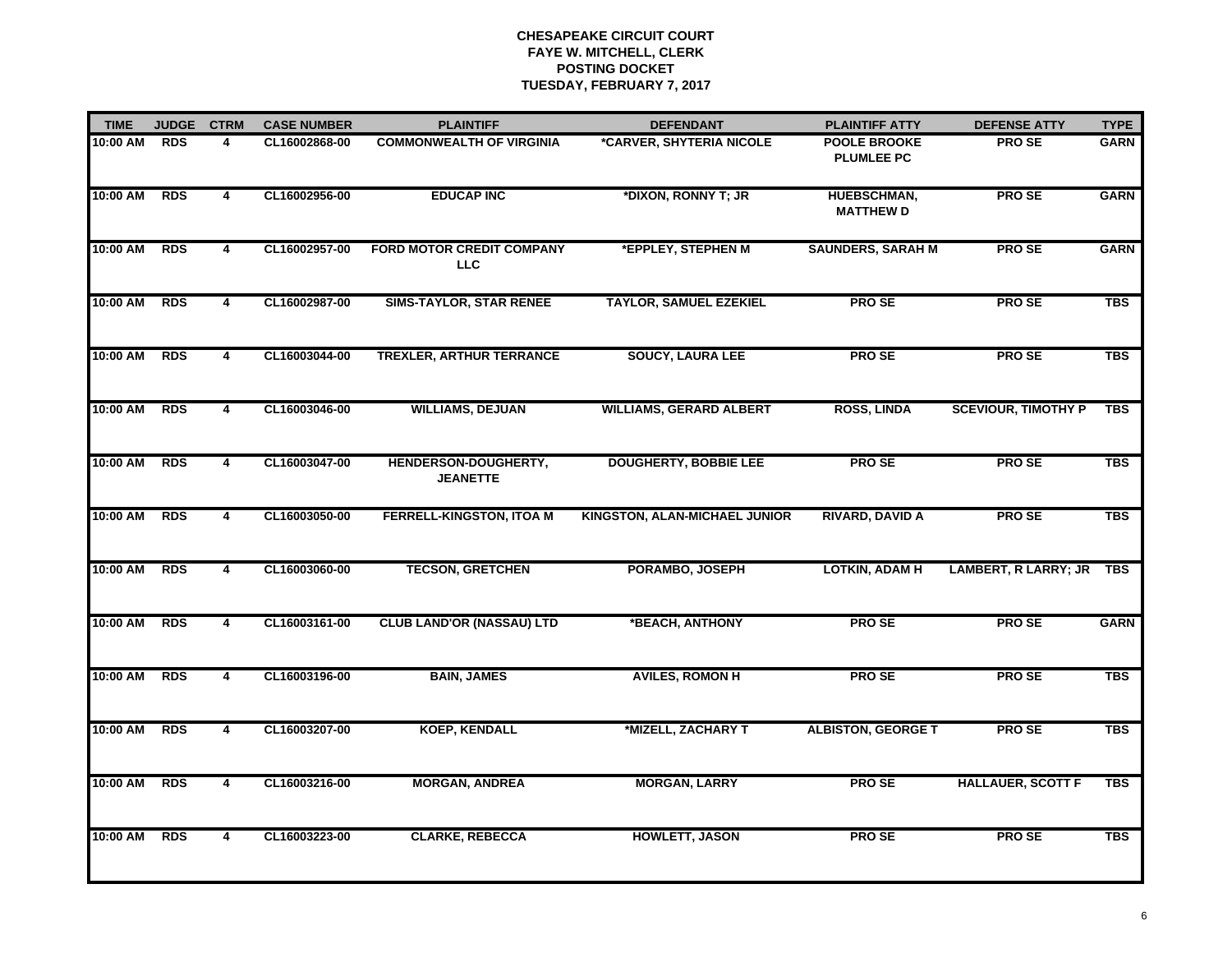| <b>TIME</b> | <b>JUDGE</b> | <b>CTRM</b>    | <b>CASE NUMBER</b> | <b>PLAINTIFF</b>                               | <b>DEFENDANT</b>               | <b>PLAINTIFF ATTY</b>                    | <b>DEFENSE ATTY</b>        | <b>TYPE</b> |
|-------------|--------------|----------------|--------------------|------------------------------------------------|--------------------------------|------------------------------------------|----------------------------|-------------|
| 10:00 AM    | <b>RDS</b>   | 4              | CL16002868-00      | <b>COMMONWEALTH OF VIRGINIA</b>                | *CARVER, SHYTERIA NICOLE       | <b>POOLE BROOKE</b><br><b>PLUMLEE PC</b> | <b>PROSE</b>               | <b>GARN</b> |
| 10:00 AM    | <b>RDS</b>   | 4              | CL16002956-00      | <b>EDUCAP INC</b>                              | *DIXON, RONNY T; JR            | HUEBSCHMAN,<br><b>MATTHEW D</b>          | <b>PROSE</b>               | <b>GARN</b> |
| 10:00 AM    | <b>RDS</b>   | 4              | CL16002957-00      | <b>FORD MOTOR CREDIT COMPANY</b><br><b>LLC</b> | *EPPLEY, STEPHEN M             | <b>SAUNDERS, SARAH M</b>                 | <b>PROSE</b>               | <b>GARN</b> |
| 10:00 AM    | <b>RDS</b>   | 4              | CL16002987-00      | <b>SIMS-TAYLOR, STAR RENEE</b>                 | <b>TAYLOR, SAMUEL EZEKIEL</b>  | <b>PROSE</b>                             | PRO SE                     | <b>TBS</b>  |
| 10:00 AM    | <b>RDS</b>   | 4              | CL16003044-00      | <b>TREXLER, ARTHUR TERRANCE</b>                | <b>SOUCY, LAURA LEE</b>        | <b>PROSE</b>                             | <b>PROSE</b>               | <b>TBS</b>  |
| 10:00 AM    | <b>RDS</b>   | 4              | CL16003046-00      | <b>WILLIAMS, DEJUAN</b>                        | <b>WILLIAMS, GERARD ALBERT</b> | <b>ROSS, LINDA</b>                       | <b>SCEVIOUR, TIMOTHY P</b> | <b>TBS</b>  |
| 10:00 AM    | <b>RDS</b>   | 4              | CL16003047-00      | HENDERSON-DOUGHERTY,<br><b>JEANETTE</b>        | <b>DOUGHERTY, BOBBIE LEE</b>   | <b>PROSE</b>                             | <b>PROSE</b>               | <b>TBS</b>  |
| 10:00 AM    | <b>RDS</b>   | 4              | CL16003050-00      | <b>FERRELL-KINGSTON, ITOA M</b>                | KINGSTON, ALAN-MICHAEL JUNIOR  | <b>RIVARD, DAVID A</b>                   | <b>PROSE</b>               | <b>TBS</b>  |
| 10:00 AM    | RDS          | 4              | CL16003060-00      | <b>TECSON, GRETCHEN</b>                        | PORAMBO, JOSEPH                | <b>LOTKIN, ADAM H</b>                    | LAMBERT, R LARRY; JR TBS   |             |
| 10:00 AM    | <b>RDS</b>   | 4              | CL16003161-00      | <b>CLUB LAND'OR (NASSAU) LTD</b>               | *BEACH, ANTHONY                | <b>PROSE</b>                             | <b>PROSE</b>               | <b>GARN</b> |
| 10:00 AM    | <b>RDS</b>   | 4              | CL16003196-00      | <b>BAIN, JAMES</b>                             | <b>AVILES, ROMON H</b>         | <b>PROSE</b>                             | <b>PROSE</b>               | <b>TBS</b>  |
| 10:00 AM    | <b>RDS</b>   | $\overline{4}$ | CL16003207-00      | <b>KOEP, KENDALL</b>                           | *MIZELL, ZACHARY T             | <b>ALBISTON, GEORGE T</b>                | <b>PROSE</b>               | <b>TBS</b>  |
| 10:00 AM    | <b>RDS</b>   | 4              | CL16003216-00      | <b>MORGAN, ANDREA</b>                          | <b>MORGAN, LARRY</b>           | <b>PROSE</b>                             | <b>HALLAUER, SCOTT F</b>   | <b>TBS</b>  |
| 10:00 AM    | <b>RDS</b>   | 4              | CL16003223-00      | <b>CLARKE, REBECCA</b>                         | <b>HOWLETT, JASON</b>          | <b>PROSE</b>                             | <b>PROSE</b>               | <b>TBS</b>  |